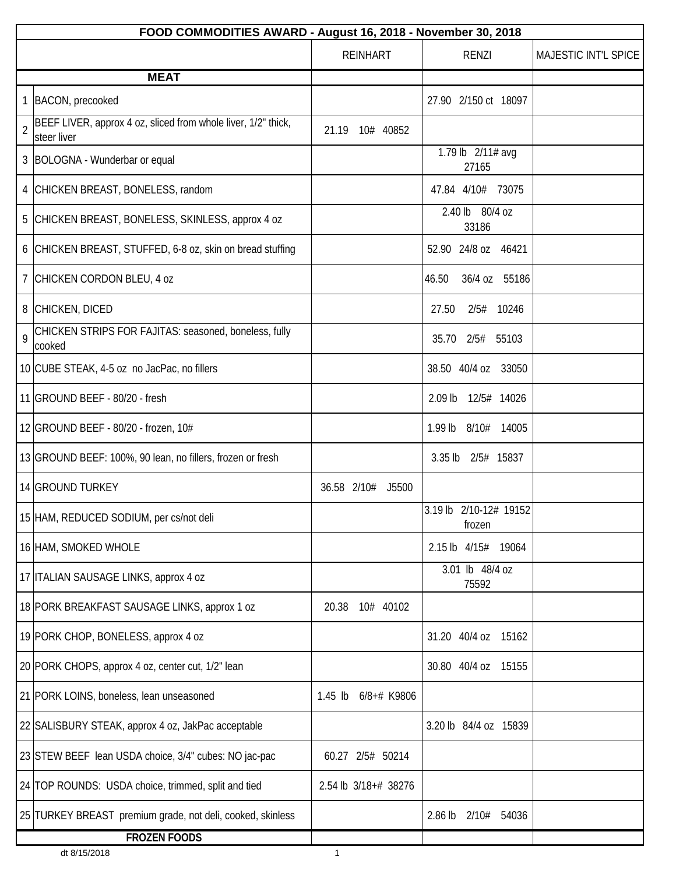|                | FOOD COMMODITIES AWARD - August 16, 2018 - November 30, 2018                 |                          |                                  |                      |  |
|----------------|------------------------------------------------------------------------------|--------------------------|----------------------------------|----------------------|--|
|                |                                                                              | REINHART                 | <b>RENZI</b>                     | MAJESTIC INT'L SPICE |  |
|                | <b>MEAT</b>                                                                  |                          |                                  |                      |  |
|                | 1 BACON, precooked                                                           |                          | 27.90 2/150 ct 18097             |                      |  |
| $\overline{2}$ | BEEF LIVER, approx 4 oz, sliced from whole liver, 1/2" thick,<br>steer liver | 21.19<br>10# 40852       |                                  |                      |  |
|                | 3 BOLOGNA - Wunderbar or equal                                               |                          | 1.79 lb 2/11# avg<br>27165       |                      |  |
|                | 4 CHICKEN BREAST, BONELESS, random                                           |                          | 47.84 4/10# 73075                |                      |  |
|                | 5 CHICKEN BREAST, BONELESS, SKINLESS, approx 4 oz                            |                          | 2.40 lb 80/4 oz<br>33186         |                      |  |
|                | 6 CHICKEN BREAST, STUFFED, 6-8 oz, skin on bread stuffing                    |                          | 52.90 24/8 oz 46421              |                      |  |
|                | 7 CHICKEN CORDON BLEU, 4 oz                                                  |                          | 46.50<br>36/4 oz 55186           |                      |  |
|                | 8 CHICKEN, DICED                                                             |                          | 27.50<br>2/5# 10246              |                      |  |
| 9              | CHICKEN STRIPS FOR FAJITAS: seasoned, boneless, fully<br>cooked              |                          | 2/5#<br>55103<br>35.70           |                      |  |
|                | 10 CUBE STEAK, 4-5 oz no JacPac, no fillers                                  |                          | 38.50 40/4 oz 33050              |                      |  |
|                | 11 GROUND BEEF - 80/20 - fresh                                               |                          | 2.09 lb 12/5# 14026              |                      |  |
|                | 12 GROUND BEEF - 80/20 - frozen, 10#                                         |                          | 1.99 lb 8/10# 14005              |                      |  |
|                | 13 GROUND BEEF: 100%, 90 lean, no fillers, frozen or fresh                   |                          | $3.35$ lb<br>2/5# 15837          |                      |  |
|                | 14 GROUND TURKEY                                                             | 36.58 2/10#<br>J5500     |                                  |                      |  |
|                | 15 HAM, REDUCED SODIUM, per cs/not deli                                      |                          | 3.19 lb 2/10-12# 19152<br>frozen |                      |  |
|                | 16 HAM, SMOKED WHOLE                                                         |                          | 2.15 lb 4/15#<br>19064           |                      |  |
|                | 17 ITALIAN SAUSAGE LINKS, approx 4 oz                                        |                          | 3.01 lb 48/4 oz<br>75592         |                      |  |
|                | 18 PORK BREAKFAST SAUSAGE LINKS, approx 1 oz                                 | 20.38<br>10# 40102       |                                  |                      |  |
|                | 19 PORK CHOP, BONELESS, approx 4 oz                                          |                          | 31.20 40/4 oz 15162              |                      |  |
|                | 20 PORK CHOPS, approx 4 oz, center cut, 1/2" lean                            |                          | 30.80 40/4 oz 15155              |                      |  |
|                | 21 PORK LOINS, boneless, lean unseasoned                                     | $1.45$ lb<br>6/8+# K9806 |                                  |                      |  |
|                | 22 SALISBURY STEAK, approx 4 oz, JakPac acceptable                           |                          | 3.20 lb 84/4 oz 15839            |                      |  |
|                | 23 STEW BEEF lean USDA choice, 3/4" cubes: NO jac-pac                        | 2/5# 50214<br>60.27      |                                  |                      |  |
|                | 24 TOP ROUNDS: USDA choice, trimmed, split and tied                          | 2.54 lb 3/18+# 38276     |                                  |                      |  |
|                | 25 TURKEY BREAST premium grade, not deli, cooked, skinless                   |                          | $2.86$ lb<br>2/10#<br>54036      |                      |  |
|                | <b>FROZEN FOODS</b>                                                          |                          |                                  |                      |  |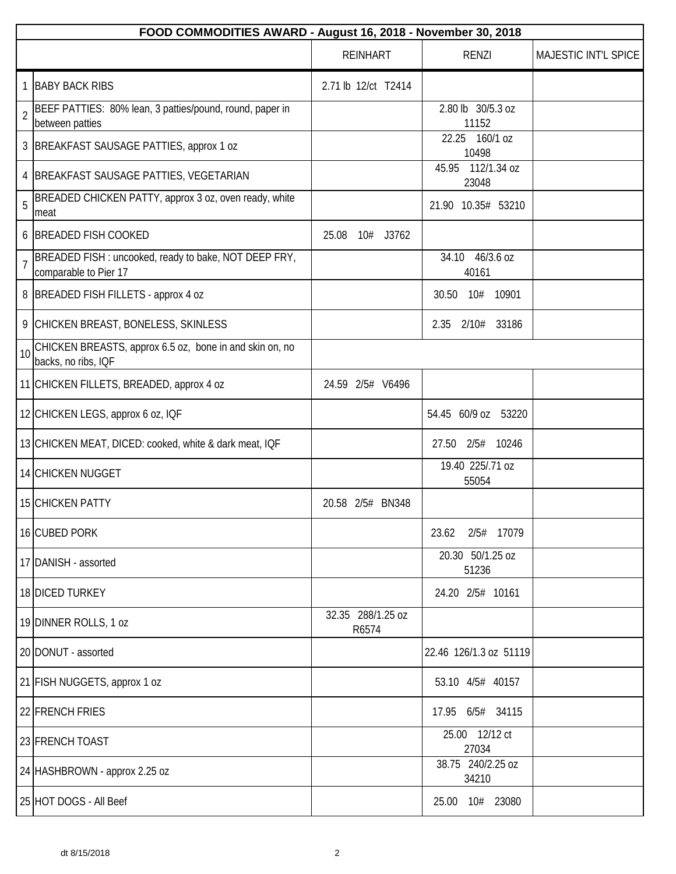|                | FOOD COMMODITIES AWARD - August 16, 2018 - November 30, 2018                   |                            |                            |                      |
|----------------|--------------------------------------------------------------------------------|----------------------------|----------------------------|----------------------|
|                |                                                                                | <b>REINHART</b>            | <b>RENZI</b>               | MAJESTIC INT'L SPICE |
| 1              | <b>BABY BACK RIBS</b>                                                          | 2.71 lb 12/ct T2414        |                            |                      |
| $\overline{2}$ | BEEF PATTIES: 80% lean, 3 patties/pound, round, paper in<br>between patties    |                            | 2.80 lb 30/5.3 oz<br>11152 |                      |
|                | 3 BREAKFAST SAUSAGE PATTIES, approx 1 oz                                       |                            | 22.25<br>160/1 oz<br>10498 |                      |
|                | 4   BREAKFAST SAUSAGE PATTIES, VEGETARIAN                                      |                            | 45.95 112/1.34 oz<br>23048 |                      |
| 5              | BREADED CHICKEN PATTY, approx 3 oz, oven ready, white<br>meat                  |                            | 21.90 10.35# 53210         |                      |
|                | 6 BREADED FISH COOKED                                                          | 25.08<br>10# J3762         |                            |                      |
| $\overline{7}$ | BREADED FISH: uncooked, ready to bake, NOT DEEP FRY,<br>comparable to Pier 17  |                            | 34.10 46/3.6 oz<br>40161   |                      |
|                | 8   BREADED FISH FILLETS - approx 4 oz                                         |                            | 30.50<br>10# 10901         |                      |
|                | 9 CHICKEN BREAST, BONELESS, SKINLESS                                           |                            | 2.35 2/10# 33186           |                      |
| 10             | CHICKEN BREASTS, approx 6.5 oz, bone in and skin on, no<br>backs, no ribs, IQF |                            |                            |                      |
|                | 11 CHICKEN FILLETS, BREADED, approx 4 oz                                       | 24.59 2/5# V6496           |                            |                      |
|                | 12 CHICKEN LEGS, approx 6 oz, IQF                                              |                            | 54.45 60/9 oz 53220        |                      |
|                | 13 CHICKEN MEAT, DICED: cooked, white & dark meat, IQF                         |                            | 2/5# 10246<br>27.50        |                      |
|                | 14 CHICKEN NUGGET                                                              |                            | 19.40 225/.71 oz<br>55054  |                      |
|                | 15 CHICKEN PATTY                                                               | 20.58 2/5# BN348           |                            |                      |
|                | 16 CUBED PORK                                                                  |                            | 2/5# 17079<br>23.62        |                      |
|                | 17 DANISH - assorted                                                           |                            | 20.30 50/1.25 oz<br>51236  |                      |
|                | 18 DICED TURKEY                                                                |                            | 24.20 2/5# 10161           |                      |
|                | 19 DINNER ROLLS, 1 oz                                                          | 32.35 288/1.25 oz<br>R6574 |                            |                      |
|                | 20 DONUT - assorted                                                            |                            | 22.46 126/1.3 oz 51119     |                      |
|                | 21 FISH NUGGETS, approx 1 oz                                                   |                            | 53.10 4/5# 40157           |                      |
|                | 22 FRENCH FRIES                                                                |                            | 17.95 6/5# 34115           |                      |
|                | 23 FRENCH TOAST                                                                |                            | 25.00 12/12 ct<br>27034    |                      |
|                | 24 HASHBROWN - approx 2.25 oz                                                  |                            | 38.75 240/2.25 oz<br>34210 |                      |
|                | 25 HOT DOGS - All Beef                                                         |                            | 25.00 10# 23080            |                      |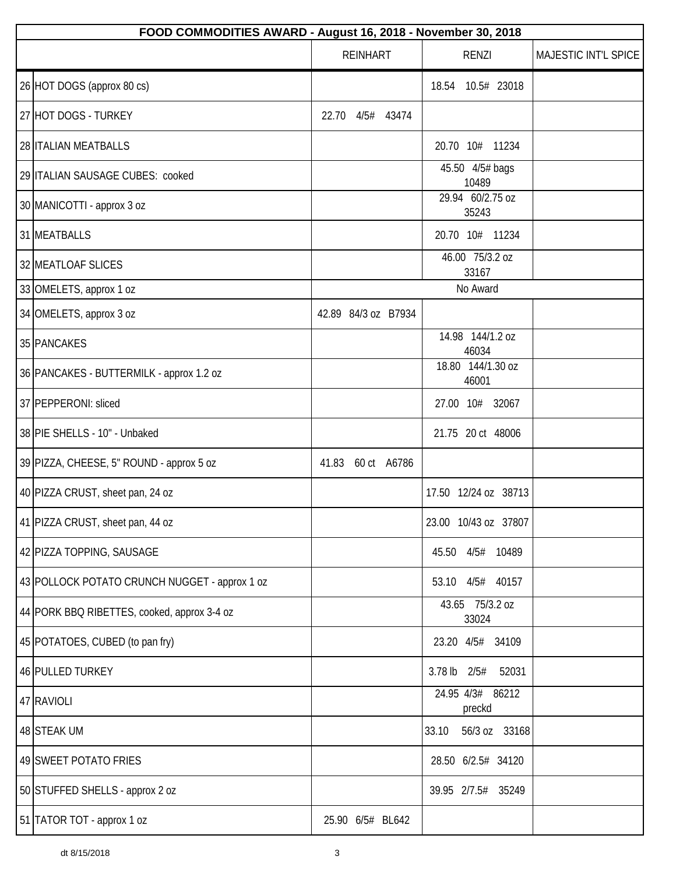| FOOD COMMODITIES AWARD - August 16, 2018 - November 30, 2018 |                     |                            |                      |
|--------------------------------------------------------------|---------------------|----------------------------|----------------------|
|                                                              | <b>REINHART</b>     | <b>RENZI</b>               | MAJESTIC INT'L SPICE |
| 26 HOT DOGS (approx 80 cs)                                   |                     | 10.5# 23018<br>18.54       |                      |
| 27 HOT DOGS - TURKEY                                         | 4/5# 43474<br>22.70 |                            |                      |
| 28 ITALIAN MEATBALLS                                         |                     | 20.70 10# 11234            |                      |
| 29 ITALIAN SAUSAGE CUBES: cooked                             |                     | 45.50 4/5# bags<br>10489   |                      |
| 30 MANICOTTI - approx 3 oz                                   |                     | 29.94 60/2.75 oz<br>35243  |                      |
| 31 MEATBALLS                                                 |                     | 20.70 10# 11234            |                      |
| 32 MEATLOAF SLICES                                           |                     | 46.00 75/3.2 oz<br>33167   |                      |
| 33 OMELETS, approx 1 oz                                      |                     | No Award                   |                      |
| 34 OMELETS, approx 3 oz                                      | 42.89 84/3 oz B7934 |                            |                      |
| 35 PANCAKES                                                  |                     | 14.98 144/1.2 oz<br>46034  |                      |
| 36 PANCAKES - BUTTERMILK - approx 1.2 oz                     |                     | 18.80 144/1.30 oz<br>46001 |                      |
| 37 PEPPERONI: sliced                                         |                     | 27.00 10# 32067            |                      |
| 38 PIE SHELLS - 10" - Unbaked                                |                     | 21.75 20 ct 48006          |                      |
| 39 PIZZA, CHEESE, 5" ROUND - approx 5 oz                     | 41.83 60 ct A6786   |                            |                      |
| 40 PIZZA CRUST, sheet pan, 24 oz                             |                     | 17.50 12/24 oz 38713       |                      |
| 41 PIZZA CRUST, sheet pan, 44 oz                             |                     | 23.00 10/43 oz 37807       |                      |
| 42 PIZZA TOPPING, SAUSAGE                                    |                     | 45.50 4/5# 10489           |                      |
| 43 POLLOCK POTATO CRUNCH NUGGET - approx 1 oz                |                     | 53.10 4/5# 40157           |                      |
| 44 PORK BBQ RIBETTES, cooked, approx 3-4 oz                  |                     | 43.65 75/3.2 oz<br>33024   |                      |
| 45 POTATOES, CUBED (to pan fry)                              |                     | 23.20 4/5# 34109           |                      |
| 46 PULLED TURKEY                                             |                     | 3.78 lb $2/5#$<br>52031    |                      |
| 47 RAVIOLI                                                   |                     | 24.95 4/3# 86212<br>preckd |                      |
| 48 STEAK UM                                                  |                     | 56/3 oz 33168<br>33.10     |                      |
| 49 SWEET POTATO FRIES                                        |                     | 28.50 6/2.5# 34120         |                      |
| 50 STUFFED SHELLS - approx 2 oz                              |                     | 39.95 2/7.5# 35249         |                      |
| 51 TATOR TOT - approx 1 oz                                   | 25.90 6/5# BL642    |                            |                      |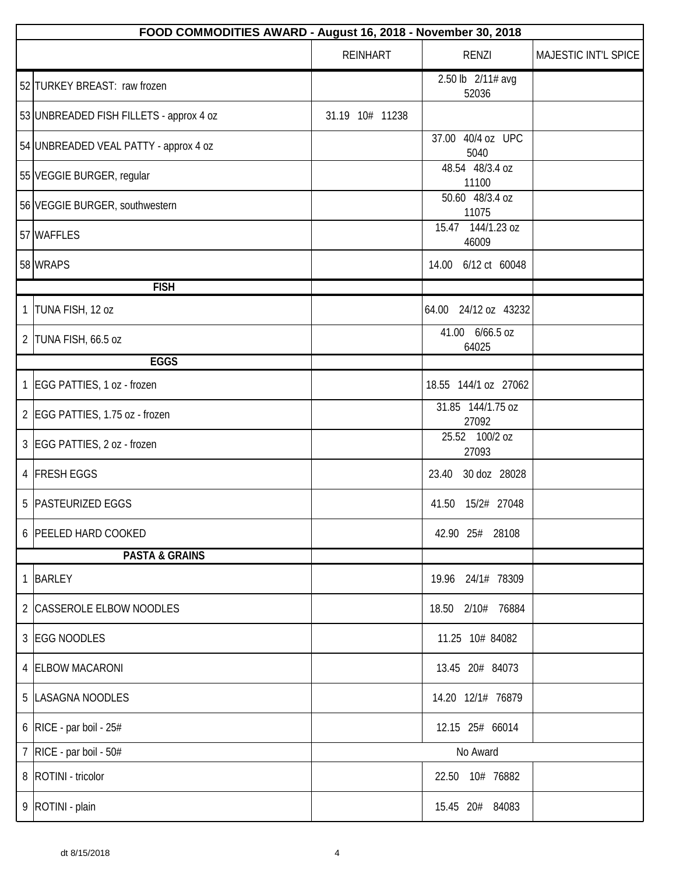| FOOD COMMODITIES AWARD - August 16, 2018 - November 30, 2018 |                 |                            |                      |  |
|--------------------------------------------------------------|-----------------|----------------------------|----------------------|--|
|                                                              | <b>REINHART</b> | <b>RENZI</b>               | MAJESTIC INT'L SPICE |  |
| 52 TURKEY BREAST: raw frozen                                 |                 | 2.50 lb 2/11# avg<br>52036 |                      |  |
| 53 UNBREADED FISH FILLETS - approx 4 oz                      | 31.19 10# 11238 |                            |                      |  |
| 54 UNBREADED VEAL PATTY - approx 4 oz                        |                 | 37.00 40/4 oz UPC<br>5040  |                      |  |
| 55 VEGGIE BURGER, regular                                    |                 | 48.54 48/3.4 oz<br>11100   |                      |  |
| 56 VEGGIE BURGER, southwestern                               |                 | 50.60 48/3.4 oz<br>11075   |                      |  |
| 57 WAFFLES                                                   |                 | 15.47 144/1.23 oz<br>46009 |                      |  |
| 58 WRAPS                                                     |                 | 14.00 6/12 ct 60048        |                      |  |
| <b>FISH</b>                                                  |                 |                            |                      |  |
| 1  TUNA FISH, 12 oz                                          |                 | 64.00 24/12 oz 43232       |                      |  |
| 2 TUNA FISH, 66.5 oz                                         |                 | 41.00 6/66.5 oz<br>64025   |                      |  |
| <b>EGGS</b>                                                  |                 |                            |                      |  |
| 1 EGG PATTIES, 1 oz - frozen                                 |                 | 18.55 144/1 oz 27062       |                      |  |
| 2 EGG PATTIES, 1.75 oz - frozen                              |                 | 31.85 144/1.75 oz<br>27092 |                      |  |
| 3 EGG PATTIES, 2 oz - frozen                                 |                 | 25.52 100/2 oz<br>27093    |                      |  |
| 4 FRESH EGGS                                                 |                 | 23.40 30 doz 28028         |                      |  |
| 5   PASTEURIZED EGGS                                         |                 | 41.50 15/2# 27048          |                      |  |
| 6 PEELED HARD COOKED                                         |                 | 42.90 25# 28108            |                      |  |
| <b>PASTA &amp; GRAINS</b>                                    |                 |                            |                      |  |
| 1 BARLEY                                                     |                 | 19.96 24/1# 78309          |                      |  |
| 2 CASSEROLE ELBOW NOODLES                                    |                 | 18.50 2/10# 76884          |                      |  |
| 3 EGG NOODLES                                                |                 | 11.25 10# 84082            |                      |  |
| 4 ELBOW MACARONI                                             |                 | 13.45 20# 84073            |                      |  |
| 5  LASAGNA NOODLES                                           |                 | 14.20 12/1# 76879          |                      |  |
| 6   RICE - par boil - $25#$                                  |                 | 12.15 25# 66014            |                      |  |
| 7 RICE - par boil - 50#                                      |                 | No Award                   |                      |  |
| 8   ROTINI - tricolor                                        |                 | 22.50 10# 76882            |                      |  |
| 9   ROTINI - plain                                           |                 | 15.45 20# 84083            |                      |  |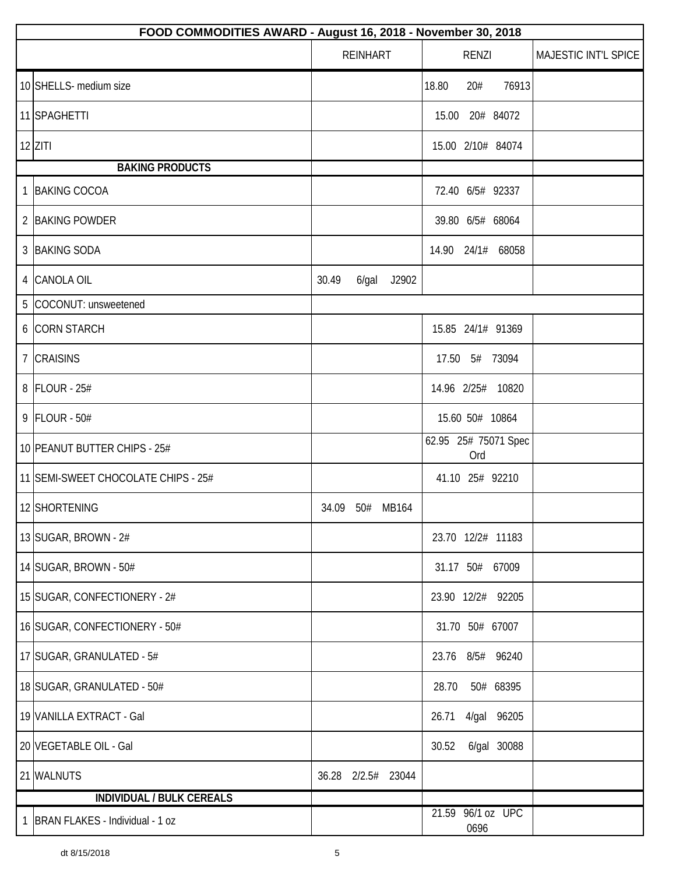| FOOD COMMODITIES AWARD - August 16, 2018 - November 30, 2018 |       |                 |                    |       |                 |                      |                      |
|--------------------------------------------------------------|-------|-----------------|--------------------|-------|-----------------|----------------------|----------------------|
|                                                              |       | <b>REINHART</b> |                    |       | <b>RENZI</b>    |                      | MAJESTIC INT'L SPICE |
| 10 SHELLS- medium size                                       |       |                 |                    | 18.80 | 20#             | 76913                |                      |
| 11 SPAGHETTI                                                 |       |                 |                    | 15.00 |                 | 20# 84072            |                      |
| $12$ ZITI                                                    |       |                 |                    |       |                 | 15.00 2/10# 84074    |                      |
| <b>BAKING PRODUCTS</b>                                       |       |                 |                    |       |                 |                      |                      |
| 1 BAKING COCOA                                               |       |                 |                    |       |                 | 72.40 6/5# 92337     |                      |
| 2 BAKING POWDER                                              |       |                 |                    |       |                 | 39.80 6/5# 68064     |                      |
| 3 BAKING SODA                                                |       |                 |                    |       |                 | 14.90 24/1# 68058    |                      |
| 4 CANOLA OIL                                                 | 30.49 | $6$ /gal        | J2902              |       |                 |                      |                      |
| 5 COCONUT: unsweetened                                       |       |                 |                    |       |                 |                      |                      |
| 6 CORN STARCH                                                |       |                 |                    |       |                 | 15.85 24/1# 91369    |                      |
| 7 CRAISINS                                                   |       |                 |                    |       | 17.50 5# 73094  |                      |                      |
| 8 FLOUR - 25#                                                |       |                 |                    |       |                 | 14.96 2/25# 10820    |                      |
| 9 FLOUR - 50#                                                |       |                 |                    |       | 15.60 50# 10864 |                      |                      |
| 10 PEANUT BUTTER CHIPS - 25#                                 |       |                 |                    |       | Ord             | 62.95 25# 75071 Spec |                      |
| 11 SEMI-SWEET CHOCOLATE CHIPS - 25#                          |       |                 |                    |       | 41.10 25# 92210 |                      |                      |
| 12 SHORTENING                                                |       |                 | 34.09 50# MB164    |       |                 |                      |                      |
| 13 SUGAR, BROWN - 2#                                         |       |                 |                    |       |                 | 23.70 12/2# 11183    |                      |
| 14 SUGAR, BROWN - 50#                                        |       |                 |                    |       |                 | 31.17 50# 67009      |                      |
| 15 SUGAR, CONFECTIONERY - 2#                                 |       |                 |                    |       |                 | 23.90 12/2# 92205    |                      |
| 16 SUGAR, CONFECTIONERY - 50#                                |       |                 |                    |       | 31.70 50# 67007 |                      |                      |
| 17 SUGAR, GRANULATED - 5#                                    |       |                 |                    |       |                 | 23.76 8/5# 96240     |                      |
| 18 SUGAR, GRANULATED - 50#                                   |       |                 |                    | 28.70 |                 | 50# 68395            |                      |
| 19 VANILLA EXTRACT - Gal                                     |       |                 |                    | 26.71 |                 | 4/gal 96205          |                      |
| 20 VEGETABLE OIL - Gal                                       |       |                 |                    | 30.52 |                 | 6/gal 30088          |                      |
| 21 WALNUTS                                                   |       |                 | 36.28 2/2.5# 23044 |       |                 |                      |                      |
| <b>INDIVIDUAL / BULK CEREALS</b>                             |       |                 |                    |       |                 |                      |                      |
| 1 BRAN FLAKES - Individual - 1 oz                            |       |                 |                    |       | 0696            | 21.59 96/1 oz UPC    |                      |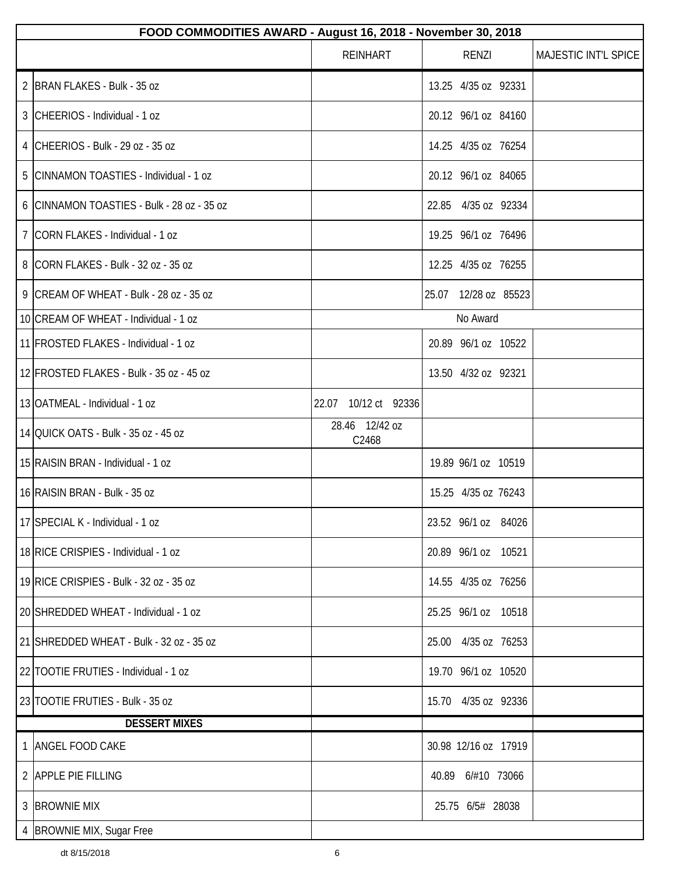|                      | FOOD COMMODITIES AWARD - August 16, 2018 - November 30, 2018 |                         |                      |                      |
|----------------------|--------------------------------------------------------------|-------------------------|----------------------|----------------------|
|                      |                                                              | <b>REINHART</b>         | <b>RENZI</b>         | MAJESTIC INT'L SPICE |
|                      | 2 BRAN FLAKES - Bulk - 35 oz                                 |                         | 13.25 4/35 oz 92331  |                      |
|                      | 3 CHEERIOS - Individual - 1 oz                               |                         | 20.12 96/1 oz 84160  |                      |
|                      | 4 CHEERIOS - Bulk - 29 oz - 35 oz                            |                         | 14.25 4/35 oz 76254  |                      |
|                      | 5 CINNAMON TOASTIES - Individual - 1 oz                      |                         | 20.12 96/1 oz 84065  |                      |
|                      | 6 CINNAMON TOASTIES - Bulk - 28 oz - 35 oz                   |                         | 22.85 4/35 oz 92334  |                      |
|                      | 7 CORN FLAKES - Individual - 1 oz                            |                         | 19.25 96/1 oz 76496  |                      |
|                      | 8 CORN FLAKES - Bulk - 32 oz - 35 oz                         |                         | 12.25 4/35 oz 76255  |                      |
|                      | 9 CREAM OF WHEAT - Bulk - 28 oz - 35 oz                      |                         | 25.07 12/28 oz 85523 |                      |
|                      | 10 CREAM OF WHEAT - Individual - 1 oz                        |                         | No Award             |                      |
|                      | 11 FROSTED FLAKES - Individual - 1 oz                        |                         | 20.89 96/1 oz 10522  |                      |
|                      | 12 FROSTED FLAKES - Bulk - 35 oz - 45 oz                     |                         | 13.50 4/32 oz 92321  |                      |
|                      | 13 OATMEAL - Individual - 1 oz                               | 22.07 10/12 ct 92336    |                      |                      |
|                      | 14 QUICK OATS - Bulk - 35 oz - 45 oz                         | 28.46 12/42 oz<br>C2468 |                      |                      |
|                      | 15 RAISIN BRAN - Individual - 1 oz                           |                         | 19.89 96/1 oz 10519  |                      |
|                      | 16 RAISIN BRAN - Bulk - 35 oz                                |                         | 15.25 4/35 oz 76243  |                      |
|                      | 17 SPECIAL K - Individual - 1 oz                             |                         | 23.52 96/1 oz 84026  |                      |
|                      | 18 RICE CRISPIES - Individual - 1 oz                         |                         | 20.89 96/1 oz 10521  |                      |
|                      | 19 RICE CRISPIES - Bulk - 32 oz - 35 oz                      |                         | 14.55 4/35 oz 76256  |                      |
|                      | 20 SHREDDED WHEAT - Individual - 1 oz                        |                         | 25.25 96/1 oz 10518  |                      |
|                      | 21 SHREDDED WHEAT - Bulk - 32 oz - 35 oz                     |                         | 25.00 4/35 oz 76253  |                      |
|                      | 22 TOOTIE FRUTIES - Individual - 1 oz                        |                         | 19.70 96/1 oz 10520  |                      |
|                      | 23 TOOTIE FRUTIES - Bulk - 35 oz                             |                         | 15.70 4/35 oz 92336  |                      |
| <b>DESSERT MIXES</b> |                                                              |                         |                      |                      |
|                      | 1 ANGEL FOOD CAKE                                            |                         | 30.98 12/16 oz 17919 |                      |
|                      | 2 APPLE PIE FILLING                                          |                         | 40.89 6/#10 73066    |                      |
|                      | 3 BROWNIE MIX                                                |                         | 25.75 6/5# 28038     |                      |
|                      | 4 BROWNIE MIX, Sugar Free                                    |                         |                      |                      |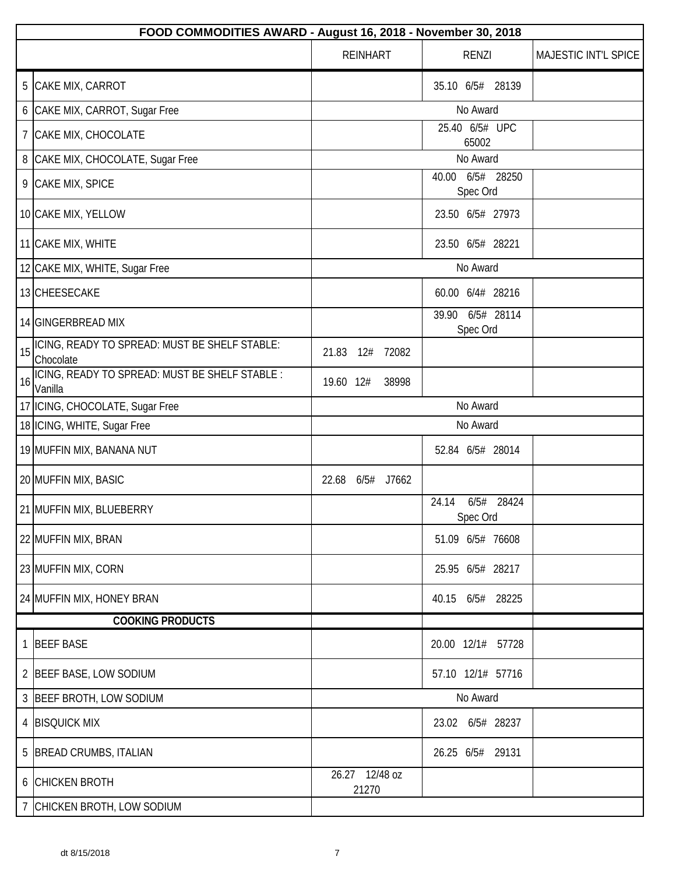|                                       | FOOD COMMODITIES AWARD - August 16, 2018 - November 30, 2018 |                         |                                 |                      |
|---------------------------------------|--------------------------------------------------------------|-------------------------|---------------------------------|----------------------|
|                                       |                                                              | <b>REINHART</b>         | <b>RENZI</b>                    | MAJESTIC INT'L SPICE |
| 5<br>CAKE MIX, CARROT                 |                                                              |                         | 35.10 6/5# 28139                |                      |
| 6 CAKE MIX, CARROT, Sugar Free        |                                                              |                         | No Award                        |                      |
| CAKE MIX, CHOCOLATE<br>$\overline{7}$ |                                                              |                         | 25.40 6/5# UPC<br>65002         |                      |
| 8<br>CAKE MIX, CHOCOLATE, Sugar Free  |                                                              |                         | No Award                        |                      |
| 9 CAKE MIX, SPICE                     |                                                              |                         | 40.00 6/5# 28250<br>Spec Ord    |                      |
| 10 CAKE MIX, YELLOW                   |                                                              |                         | 23.50 6/5# 27973                |                      |
| 11 CAKE MIX, WHITE                    |                                                              |                         | 23.50 6/5# 28221                |                      |
| 12 CAKE MIX, WHITE, Sugar Free        |                                                              |                         | No Award                        |                      |
| 13 CHEESECAKE                         |                                                              |                         | 60.00 6/4# 28216                |                      |
| 14 GINGERBREAD MIX                    |                                                              |                         | 39.90 6/5# 28114<br>Spec Ord    |                      |
| 15<br>Chocolate                       | ICING, READY TO SPREAD: MUST BE SHELF STABLE:                | 21.83<br>12#<br>72082   |                                 |                      |
| 16<br>Vanilla                         | ICING, READY TO SPREAD: MUST BE SHELF STABLE :               | 19.60 12#<br>38998      |                                 |                      |
| 17   ICING, CHOCOLATE, Sugar Free     |                                                              |                         | No Award                        |                      |
| 18   ICING, WHITE, Sugar Free         |                                                              |                         | No Award                        |                      |
| 19 MUFFIN MIX, BANANA NUT             |                                                              |                         | 52.84 6/5# 28014                |                      |
| 20 MUFFIN MIX, BASIC                  |                                                              | 6/5#<br>22.68<br>J7662  |                                 |                      |
| 21 MUFFIN MIX, BLUEBERRY              |                                                              |                         | 24.14<br>6/5# 28424<br>Spec Ord |                      |
| 22 MUFFIN MIX, BRAN                   |                                                              |                         | 51.09 6/5# 76608                |                      |
| 23 MUFFIN MIX, CORN                   |                                                              |                         | 25.95 6/5# 28217                |                      |
| 24 MUFFIN MIX, HONEY BRAN             |                                                              |                         | 40.15 6/5# 28225                |                      |
|                                       | <b>COOKING PRODUCTS</b>                                      |                         |                                 |                      |
| 1 BEEF BASE                           |                                                              |                         | 20.00 12/1# 57728               |                      |
| 2 BEEF BASE, LOW SODIUM               |                                                              |                         | 57.10 12/1# 57716               |                      |
| 3 BEEF BROTH, LOW SODIUM              |                                                              |                         | No Award                        |                      |
| 4 BISQUICK MIX                        |                                                              |                         | 23.02 6/5# 28237                |                      |
| 5 BREAD CRUMBS, ITALIAN               |                                                              |                         | 26.25 6/5# 29131                |                      |
| 6 CHICKEN BROTH                       |                                                              | 26.27 12/48 oz<br>21270 |                                 |                      |
| CHICKEN BROTH, LOW SODIUM             |                                                              |                         |                                 |                      |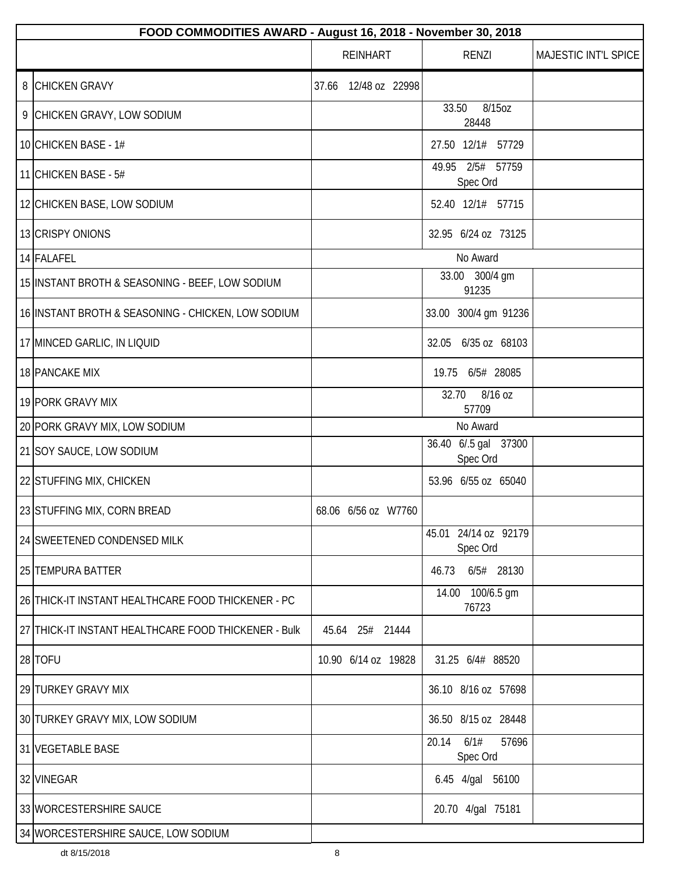| FOOD COMMODITIES AWARD - August 16, 2018 - November 30, 2018 |                      |                                    |                      |
|--------------------------------------------------------------|----------------------|------------------------------------|----------------------|
|                                                              | <b>REINHART</b>      | <b>RENZI</b>                       | MAJESTIC INT'L SPICE |
| 8 CHICKEN GRAVY                                              | 37.66 12/48 oz 22998 |                                    |                      |
| 9 CHICKEN GRAVY, LOW SODIUM                                  |                      | 8/15oz<br>33.50<br>28448           |                      |
| 10 CHICKEN BASE - 1#                                         |                      | 27.50 12/1# 57729                  |                      |
| 11 CHICKEN BASE - 5#                                         |                      | 2/5# 57759<br>49.95<br>Spec Ord    |                      |
| 12 CHICKEN BASE, LOW SODIUM                                  |                      | 52.40 12/1# 57715                  |                      |
| 13 CRISPY ONIONS                                             |                      | 32.95 6/24 oz 73125                |                      |
| 14 FALAFEL                                                   |                      | No Award                           |                      |
| 15 INSTANT BROTH & SEASONING - BEEF, LOW SODIUM              |                      | 33.00 300/4 gm<br>91235            |                      |
| 16 INSTANT BROTH & SEASONING - CHICKEN, LOW SODIUM           |                      | 33.00 300/4 gm 91236               |                      |
| 17 MINCED GARLIC, IN LIQUID                                  |                      | 32.05 6/35 oz 68103                |                      |
| 18 PANCAKE MIX                                               |                      | 19.75 6/5# 28085                   |                      |
| 19 PORK GRAVY MIX                                            |                      | 32.70<br>8/16 oz<br>57709          |                      |
| 20 PORK GRAVY MIX, LOW SODIUM                                |                      | No Award                           |                      |
| 21 SOY SAUCE, LOW SODIUM                                     |                      | 36.40 6/.5 gal 37300<br>Spec Ord   |                      |
| 22 STUFFING MIX, CHICKEN                                     |                      | 53.96 6/55 oz 65040                |                      |
| 23 STUFFING MIX, CORN BREAD                                  | 68.06 6/56 oz W7760  |                                    |                      |
| 24 SWEETENED CONDENSED MILK                                  |                      | 45.01 24/14 oz 92179<br>Spec Ord   |                      |
| 25 TEMPURA BATTER                                            |                      | 6/5# 28130<br>46.73                |                      |
| 26 THICK-IT INSTANT HEALTHCARE FOOD THICKENER - PC           |                      | 14.00 100/6.5 gm<br>76723          |                      |
| 27 THICK-IT INSTANT HEALTHCARE FOOD THICKENER - Bulk         | 45.64 25# 21444      |                                    |                      |
| 28 TOFU                                                      | 10.90 6/14 oz 19828  | 31.25 6/4# 88520                   |                      |
| 29 TURKEY GRAVY MIX                                          |                      | 36.10 8/16 oz 57698                |                      |
| 30 TURKEY GRAVY MIX, LOW SODIUM                              |                      | 36.50 8/15 oz 28448                |                      |
| 31 VEGETABLE BASE                                            |                      | 6/1#<br>57696<br>20.14<br>Spec Ord |                      |
| 32 VINEGAR                                                   |                      | 6.45 4/gal 56100                   |                      |
| 33 WORCESTERSHIRE SAUCE                                      |                      | 20.70 4/gal 75181                  |                      |
| 34 WORCESTERSHIRE SAUCE, LOW SODIUM                          |                      |                                    |                      |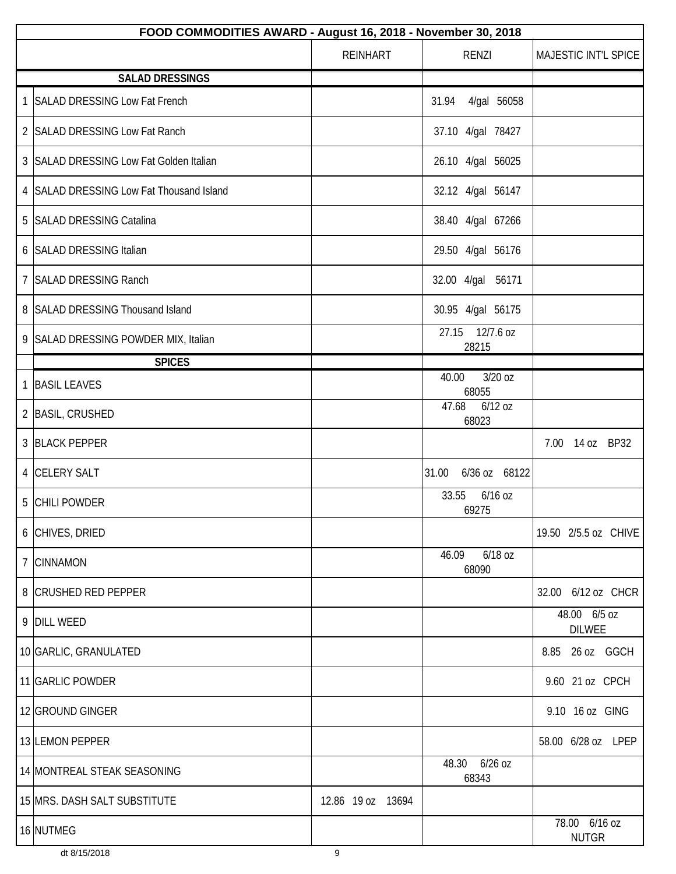| FOOD COMMODITIES AWARD - August 16, 2018 - November 30, 2018 |                   |                             |                               |
|--------------------------------------------------------------|-------------------|-----------------------------|-------------------------------|
|                                                              | <b>REINHART</b>   | RENZI                       | MAJESTIC INT'L SPICE          |
| <b>SALAD DRESSINGS</b>                                       |                   |                             |                               |
| 1 SALAD DRESSING Low Fat French                              |                   | 4/gal 56058<br>31.94        |                               |
| 2 SALAD DRESSING Low Fat Ranch                               |                   | 37.10 4/gal 78427           |                               |
| 3 SALAD DRESSING Low Fat Golden Italian                      |                   | 26.10 4/gal 56025           |                               |
| 4 SALAD DRESSING Low Fat Thousand Island                     |                   | 32.12 4/gal 56147           |                               |
| 5 SALAD DRESSING Catalina                                    |                   | 38.40 4/gal 67266           |                               |
| 6 SALAD DRESSING Italian                                     |                   | 29.50 4/gal 56176           |                               |
| 7 SALAD DRESSING Ranch                                       |                   | 32.00 4/gal 56171           |                               |
| 8 SALAD DRESSING Thousand Island                             |                   | 30.95 4/gal 56175           |                               |
| 9 SALAD DRESSING POWDER MIX, Italian                         |                   | 12/7.6 oz<br>27.15<br>28215 |                               |
| <b>SPICES</b>                                                |                   |                             |                               |
| 1 BASIL LEAVES                                               |                   | 3/20 oz<br>40.00<br>68055   |                               |
| 2   BASIL, CRUSHED                                           |                   | 47.68<br>$6/12$ oz<br>68023 |                               |
| 3 BLACK PEPPER                                               |                   |                             | 7.00 14 oz BP32               |
| 4 CELERY SALT                                                |                   | 31.00<br>6/36 oz 68122      |                               |
| 5 CHILI POWDER                                               |                   | 33.55<br>6/16 oz<br>69275   |                               |
| 6 CHIVES, DRIED                                              |                   |                             | 19.50 2/5.5 oz CHIVE          |
| 7 CINNAMON                                                   |                   | 6/18 oz<br>46.09<br>68090   |                               |
| 8 CRUSHED RED PEPPER                                         |                   |                             | 32.00 6/12 oz CHCR            |
| 9 DILL WEED                                                  |                   |                             | 48.00 6/5 oz<br><b>DILWEE</b> |
| 10 GARLIC, GRANULATED                                        |                   |                             | 8.85<br>26 oz GGCH            |
| 11 GARLIC POWDER                                             |                   |                             | 9.60 21 oz CPCH               |
| 12 GROUND GINGER                                             |                   |                             | 9.10 16 oz GING               |
| 13 LEMON PEPPER                                              |                   |                             | 58.00 6/28 oz LPEP            |
| 14 MONTREAL STEAK SEASONING                                  |                   | 48.30 6/26 oz<br>68343      |                               |
| 15 MRS. DASH SALT SUBSTITUTE                                 | 12.86 19 oz 13694 |                             |                               |
| 16 NUTMEG                                                    |                   |                             | 78.00 6/16 oz<br><b>NUTGR</b> |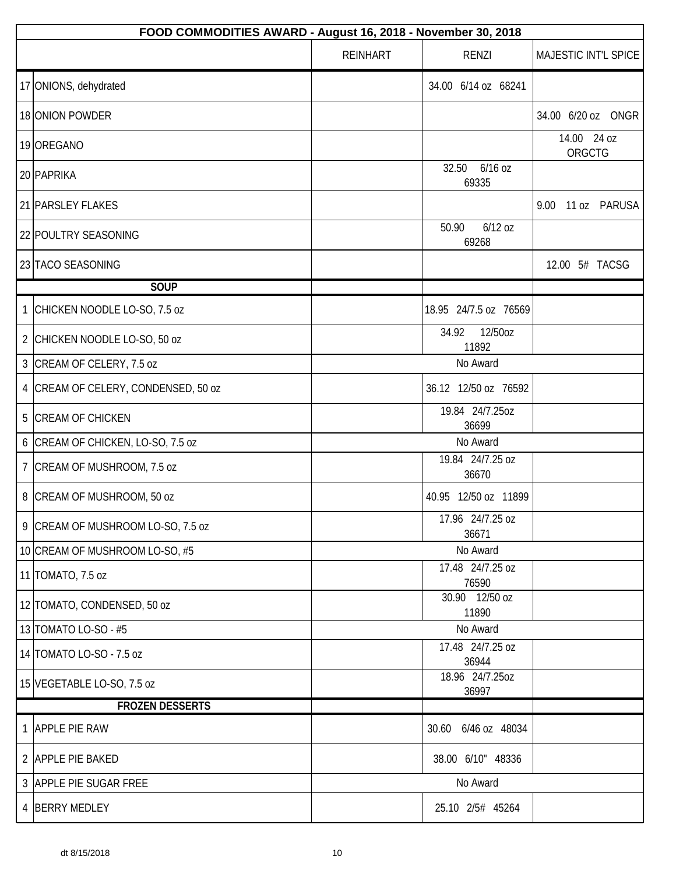|                | FOOD COMMODITIES AWARD - August 16, 2018 - November 30, 2018 |                 |                             |                       |
|----------------|--------------------------------------------------------------|-----------------|-----------------------------|-----------------------|
|                |                                                              | <b>REINHART</b> | RENZI                       | MAJESTIC INT'L SPICE  |
|                | 17 ONIONS, dehydrated                                        |                 | 34.00 6/14 oz 68241         |                       |
|                | 18 ONION POWDER                                              |                 |                             | 34.00 6/20 oz ONGR    |
|                | 19 OREGANO                                                   |                 |                             | 14.00 24 oz<br>ORGCTG |
|                | 20 PAPRIKA                                                   |                 | 32.50<br>6/16 oz<br>69335   |                       |
|                | 21 PARSLEY FLAKES                                            |                 |                             | 9.00<br>11 oz PARUSA  |
|                | 22 POULTRY SEASONING                                         |                 | $6/12$ oz<br>50.90<br>69268 |                       |
|                | 23 TACO SEASONING                                            |                 |                             | 12.00 5# TACSG        |
|                | <b>SOUP</b>                                                  |                 |                             |                       |
| 1              | CHICKEN NOODLE LO-SO, 7.5 oz                                 |                 | 18.95 24/7.5 oz 76569       |                       |
|                | 2 CHICKEN NOODLE LO-SO, 50 oz                                |                 | 12/50oz<br>34.92<br>11892   |                       |
|                | 3 CREAM OF CELERY, 7.5 oz                                    |                 | No Award                    |                       |
| 4              | CREAM OF CELERY, CONDENSED, 50 oz                            |                 | 36.12 12/50 oz 76592        |                       |
| 5              | <b>CREAM OF CHICKEN</b>                                      |                 | 19.84 24/7.25oz<br>36699    |                       |
|                | 6 CREAM OF CHICKEN, LO-SO, 7.5 oz                            |                 | No Award                    |                       |
| $\overline{7}$ | CREAM OF MUSHROOM, 7.5 oz                                    |                 | 19.84 24/7.25 oz<br>36670   |                       |
|                | 8 CREAM OF MUSHROOM, 50 oz                                   |                 | 40.95 12/50 oz 11899        |                       |
|                | 9 CREAM OF MUSHROOM LO-SO, 7.5 oz                            |                 | 17.96 24/7.25 oz<br>36671   |                       |
|                | 10 CREAM OF MUSHROOM LO-SO, #5                               |                 | No Award                    |                       |
|                | 11 TOMATO, 7.5 oz                                            |                 | 17.48 24/7.25 oz<br>76590   |                       |
|                | 12 TOMATO, CONDENSED, 50 oz                                  |                 | 30.90 12/50 oz<br>11890     |                       |
|                | 13 TOMATO LO-SO - #5                                         |                 | No Award                    |                       |
|                | 14 TOMATO LO-SO - 7.5 oz                                     |                 | 17.48 24/7.25 oz<br>36944   |                       |
|                | 15 VEGETABLE LO-SO, 7.5 oz                                   |                 | 18.96 24/7.25oz<br>36997    |                       |
|                | <b>FROZEN DESSERTS</b>                                       |                 |                             |                       |
|                | 1 APPLE PIE RAW                                              |                 | 30.60 6/46 oz 48034         |                       |
|                | 2 APPLE PIE BAKED                                            |                 | 38.00 6/10" 48336           |                       |
|                | 3 APPLE PIE SUGAR FREE                                       |                 | No Award                    |                       |
|                | 4 BERRY MEDLEY                                               |                 | 25.10 2/5# 45264            |                       |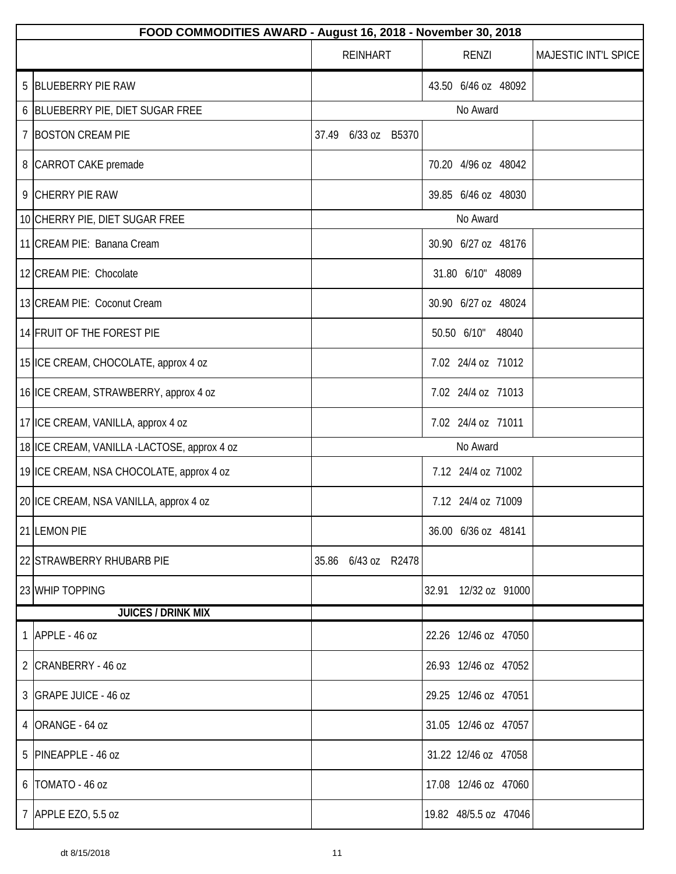|   | FOOD COMMODITIES AWARD - August 16, 2018 - November 30, 2018 |                     |                       |                      |  |
|---|--------------------------------------------------------------|---------------------|-----------------------|----------------------|--|
|   |                                                              | <b>REINHART</b>     | <b>RENZI</b>          | MAJESTIC INT'L SPICE |  |
|   | 5 BLUEBERRY PIE RAW                                          |                     | 43.50 6/46 oz 48092   |                      |  |
|   | 6 BLUEBERRY PIE, DIET SUGAR FREE                             |                     | No Award              |                      |  |
|   | 7 BOSTON CREAM PIE                                           | 37.49 6/33 oz B5370 |                       |                      |  |
|   | 8   CARROT CAKE premade                                      |                     | 70.20 4/96 oz 48042   |                      |  |
|   | 9 CHERRY PIE RAW                                             |                     | 39.85 6/46 oz 48030   |                      |  |
|   | 10 CHERRY PIE, DIET SUGAR FREE                               |                     | No Award              |                      |  |
|   | 11 CREAM PIE: Banana Cream                                   |                     | 30.90 6/27 oz 48176   |                      |  |
|   | 12 CREAM PIE: Chocolate                                      |                     | 31.80 6/10" 48089     |                      |  |
|   | 13 CREAM PIE: Coconut Cream                                  |                     | 30.90 6/27 oz 48024   |                      |  |
|   | 14 FRUIT OF THE FOREST PIE                                   |                     | 50.50 6/10" 48040     |                      |  |
|   | 15 ICE CREAM, CHOCOLATE, approx 4 oz                         |                     | 7.02 24/4 oz 71012    |                      |  |
|   | 16 ICE CREAM, STRAWBERRY, approx 4 oz                        |                     | 7.02 24/4 oz 71013    |                      |  |
|   | 17 ICE CREAM, VANILLA, approx 4 oz                           |                     | 7.02 24/4 oz 71011    |                      |  |
|   | 18 ICE CREAM, VANILLA -LACTOSE, approx 4 oz                  |                     | No Award              |                      |  |
|   | 19 ICE CREAM, NSA CHOCOLATE, approx 4 oz                     |                     | 7.12 24/4 oz 71002    |                      |  |
|   | 20 ICE CREAM, NSA VANILLA, approx 4 oz                       |                     | 7.12 24/4 oz 71009    |                      |  |
|   | 21 LEMON PIE                                                 |                     | 36.00 6/36 oz 48141   |                      |  |
|   | 22 STRAWBERRY RHUBARB PIE                                    | 35.86 6/43 oz R2478 |                       |                      |  |
|   | 23 WHIP TOPPING                                              |                     | 32.91 12/32 oz 91000  |                      |  |
|   | <b>JUICES / DRINK MIX</b>                                    |                     |                       |                      |  |
|   | 1 APPLE - 46 oz                                              |                     | 22.26 12/46 oz 47050  |                      |  |
|   | 2 CRANBERRY - 46 oz                                          |                     | 26.93 12/46 oz 47052  |                      |  |
|   | 3   GRAPE JUICE - 46 oz                                      |                     | 29.25 12/46 oz 47051  |                      |  |
|   | 4 ORANGE - 64 oz                                             |                     | 31.05 12/46 oz 47057  |                      |  |
|   | 5 PINEAPPLE - 46 oz                                          |                     | 31.22 12/46 oz 47058  |                      |  |
| 6 | TOMATO - 46 oz                                               |                     | 17.08 12/46 oz 47060  |                      |  |
|   | 7 APPLE EZO, 5.5 oz                                          |                     | 19.82 48/5.5 oz 47046 |                      |  |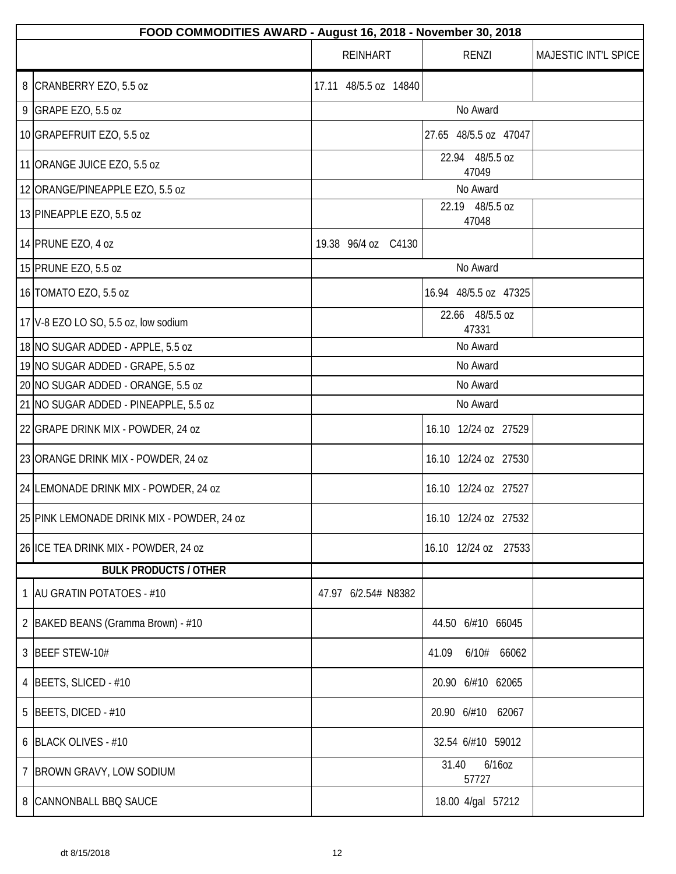| FOOD COMMODITIES AWARD - August 16, 2018 - November 30, 2018 |                       |                          |                      |
|--------------------------------------------------------------|-----------------------|--------------------------|----------------------|
|                                                              | <b>REINHART</b>       | <b>RENZI</b>             | MAJESTIC INT'L SPICE |
| 8 CRANBERRY EZO, 5.5 oz                                      | 17.11 48/5.5 oz 14840 |                          |                      |
| 9 GRAPE EZO, 5.5 oz                                          |                       | No Award                 |                      |
| 10 GRAPEFRUIT EZO, 5.5 oz                                    |                       | 27.65 48/5.5 oz 47047    |                      |
| 11 ORANGE JUICE EZO, 5.5 oz                                  |                       | 22.94 48/5.5 oz<br>47049 |                      |
| 12 ORANGE/PINEAPPLE EZO, 5.5 oz                              |                       | No Award                 |                      |
| 13 PINEAPPLE EZO, 5.5 oz                                     |                       | 22.19 48/5.5 oz<br>47048 |                      |
| 14 PRUNE EZO, 4 oz                                           | 19.38 96/4 oz C4130   |                          |                      |
| 15 PRUNE EZO, 5.5 oz                                         |                       | No Award                 |                      |
| 16 TOMATO EZO, 5.5 oz                                        |                       | 16.94 48/5.5 oz 47325    |                      |
| 17 $V$ -8 EZO LO SO, 5.5 oz, low sodium                      |                       | 22.66 48/5.5 oz<br>47331 |                      |
| 18 NO SUGAR ADDED - APPLE, 5.5 oz                            |                       | No Award                 |                      |
| 19 NO SUGAR ADDED - GRAPE, 5.5 oz                            |                       | No Award                 |                      |
| 20 NO SUGAR ADDED - ORANGE, 5.5 oz                           |                       | No Award                 |                      |
| 21 NO SUGAR ADDED - PINEAPPLE, 5.5 oz                        |                       | No Award                 |                      |
| 22 GRAPE DRINK MIX - POWDER, 24 oz                           |                       | 16.10 12/24 oz 27529     |                      |
| 23 ORANGE DRINK MIX - POWDER, 24 oz                          |                       | 16.10 12/24 oz 27530     |                      |
| 24 LEMONADE DRINK MIX - POWDER, 24 oz                        |                       | 16.10 12/24 oz 27527     |                      |
| 25 PINK LEMONADE DRINK MIX - POWDER, 24 oz                   |                       | 16.10 12/24 oz 27532     |                      |
| 26 ICE TEA DRINK MIX - POWDER, 24 oz                         |                       | 16.10 12/24 oz 27533     |                      |
| <b>BULK PRODUCTS / OTHER</b>                                 |                       |                          |                      |
| 1   AU GRATIN POTATOES - #10                                 | 47.97 6/2.54# N8382   |                          |                      |
| 2 BAKED BEANS (Gramma Brown) - #10                           |                       | 44.50 6/#10 66045        |                      |
| 3 BEEF STEW-10#                                              |                       | 6/10# 66062<br>41.09     |                      |
| 4   BEETS, SLICED - #10                                      |                       | 20.90 6/#10 62065        |                      |
| 5   BEETS, DICED - $#10$                                     |                       | 20.90 6/#10 62067        |                      |
| 6 BLACK OLIVES - #10                                         |                       | 32.54 6/#10 59012        |                      |
| 7 BROWN GRAVY, LOW SODIUM                                    |                       | 6/16oz<br>31.40<br>57727 |                      |
| 8 CANNONBALL BBQ SAUCE                                       |                       | 18.00 4/gal 57212        |                      |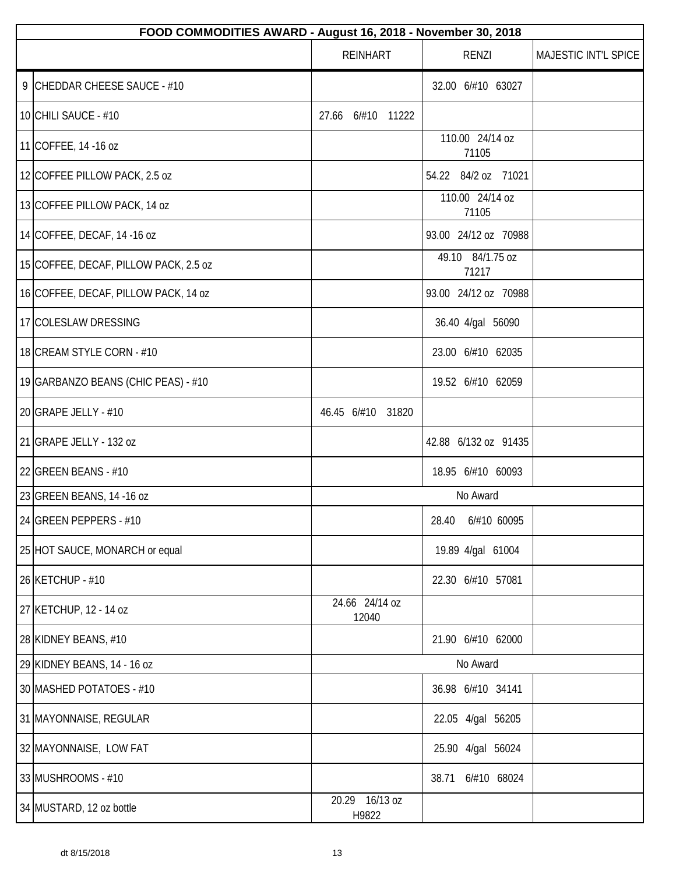| FOOD COMMODITIES AWARD - August 16, 2018 - November 30, 2018 |                         |                           |                      |  |  |
|--------------------------------------------------------------|-------------------------|---------------------------|----------------------|--|--|
|                                                              | <b>REINHART</b>         | RENZI                     | MAJESTIC INT'L SPICE |  |  |
| 9 CHEDDAR CHEESE SAUCE - #10                                 |                         | 32.00 6/#10 63027         |                      |  |  |
| 10 CHILI SAUCE - #10                                         | 6/#10 11222<br>27.66    |                           |                      |  |  |
| 11 COFFEE, 14 -16 oz                                         |                         | 110.00 24/14 oz<br>71105  |                      |  |  |
| 12 COFFEE PILLOW PACK, 2.5 oz                                |                         | 54.22 84/2 oz 71021       |                      |  |  |
| 13 COFFEE PILLOW PACK, 14 oz                                 |                         | 110.00 24/14 oz<br>71105  |                      |  |  |
| 14 COFFEE, DECAF, 14 -16 oz                                  |                         | 93.00 24/12 oz 70988      |                      |  |  |
| 15 COFFEE, DECAF, PILLOW PACK, 2.5 oz                        |                         | 49.10 84/1.75 oz<br>71217 |                      |  |  |
| 16 COFFEE, DECAF, PILLOW PACK, 14 oz                         |                         | 93.00 24/12 oz 70988      |                      |  |  |
| 17 COLESLAW DRESSING                                         |                         | 36.40 4/gal 56090         |                      |  |  |
| 18 CREAM STYLE CORN - #10                                    |                         | 23.00 6/#10 62035         |                      |  |  |
| 19 GARBANZO BEANS (CHIC PEAS) - #10                          |                         | 19.52 6/#10 62059         |                      |  |  |
| 20 GRAPE JELLY - #10                                         | 46.45 6/#10 31820       |                           |                      |  |  |
| 21 GRAPE JELLY - 132 oz                                      |                         | 42.88 6/132 oz 91435      |                      |  |  |
| 22 GREEN BEANS - $#10$                                       |                         | 18.95 6/#10 60093         |                      |  |  |
| 23 GREEN BEANS, 14 -16 oz                                    |                         | No Award                  |                      |  |  |
| 24 GREEN PEPPERS - #10                                       |                         | 28.40 6/#10 60095         |                      |  |  |
| 25 HOT SAUCE, MONARCH or equal                               |                         | 19.89 4/gal 61004         |                      |  |  |
| 26 KETCHUP - #10                                             |                         | 22.30 6/#10 57081         |                      |  |  |
| 27 KETCHUP, 12 - 14 oz                                       | 24.66 24/14 oz<br>12040 |                           |                      |  |  |
| 28 KIDNEY BEANS, #10                                         |                         | 21.90 6/#10 62000         |                      |  |  |
| 29 KIDNEY BEANS, 14 - 16 oz                                  |                         | No Award                  |                      |  |  |
| 30 MASHED POTATOES - #10                                     |                         | 36.98 6/#10 34141         |                      |  |  |
| 31 MAYONNAISE, REGULAR                                       |                         | 22.05 4/gal 56205         |                      |  |  |
| 32 MAYONNAISE, LOW FAT                                       |                         | 25.90 4/gal 56024         |                      |  |  |
| 33 MUSHROOMS - #10                                           |                         | 6/#10 68024<br>38.71      |                      |  |  |
| 34 MUSTARD, 12 oz bottle                                     | 20.29 16/13 oz<br>H9822 |                           |                      |  |  |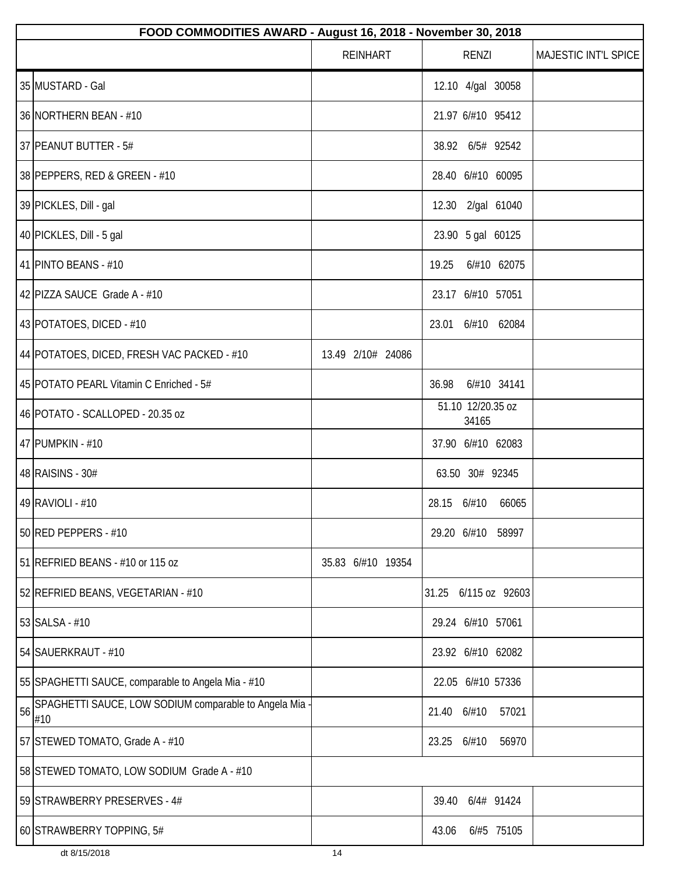|    | FOOD COMMODITIES AWARD - August 16, 2018 - November 30, 2018  |                   |                            |                      |  |  |  |
|----|---------------------------------------------------------------|-------------------|----------------------------|----------------------|--|--|--|
|    |                                                               | <b>REINHART</b>   | <b>RENZI</b>               | MAJESTIC INT'L SPICE |  |  |  |
|    | 35 MUSTARD - Gal                                              |                   | 12.10 4/gal 30058          |                      |  |  |  |
|    | 36 NORTHERN BEAN - #10                                        |                   | 21.97 6/#10 95412          |                      |  |  |  |
|    | 37 PEANUT BUTTER - 5#                                         |                   | 38.92 6/5# 92542           |                      |  |  |  |
|    | 38 PEPPERS, RED & GREEN - #10                                 |                   | 28.40 6/#10 60095          |                      |  |  |  |
|    | 39 PICKLES, Dill - gal                                        |                   | 12.30 2/gal 61040          |                      |  |  |  |
|    | 40 PICKLES, Dill - 5 gal                                      |                   | 23.90 5 gal 60125          |                      |  |  |  |
|    | 41 PINTO BEANS - #10                                          |                   | 6/#10 62075<br>19.25       |                      |  |  |  |
|    | 42 PIZZA SAUCE Grade A - #10                                  |                   | 23.17 6/#10 57051          |                      |  |  |  |
|    | 43 POTATOES, DICED - #10                                      |                   | 23.01 6/#10 62084          |                      |  |  |  |
|    | 44 POTATOES, DICED, FRESH VAC PACKED - #10                    | 13.49 2/10# 24086 |                            |                      |  |  |  |
|    | 45 POTATO PEARL Vitamin C Enriched - 5#                       |                   | 6/#10 34141<br>36.98       |                      |  |  |  |
|    | 46 POTATO - SCALLOPED - 20.35 oz                              |                   | 51.10 12/20.35 oz<br>34165 |                      |  |  |  |
|    | 47 PUMPKIN - #10                                              |                   | 37.90 6/#10 62083          |                      |  |  |  |
|    | 48 RAISINS - 30#                                              |                   | 63.50 30# 92345            |                      |  |  |  |
|    | 49 RAVIOLI - #10                                              |                   | 28.15 6/#10<br>66065       |                      |  |  |  |
|    | 50 RED PEPPERS - #10                                          |                   | 29.20 6/#10 58997          |                      |  |  |  |
|    | 51 REFRIED BEANS - #10 or 115 oz                              | 35.83 6/#10 19354 |                            |                      |  |  |  |
|    | 52 REFRIED BEANS, VEGETARIAN - #10                            |                   | 31.25<br>6/115 oz 92603    |                      |  |  |  |
|    | 53 SALSA - #10                                                |                   | 29.24 6/#10 57061          |                      |  |  |  |
|    | 54 SAUERKRAUT - #10                                           |                   | 23.92 6/#10 62082          |                      |  |  |  |
|    | 55 SPAGHETTI SAUCE, comparable to Angela Mia - #10            |                   | 22.05 6/#10 57336          |                      |  |  |  |
| 56 | SPAGHETTI SAUCE, LOW SODIUM comparable to Angela Mia -<br>#10 |                   | 21.40 6/#10<br>57021       |                      |  |  |  |
|    | 57 STEWED TOMATO, Grade A - #10                               |                   | 23.25<br>6/#10<br>56970    |                      |  |  |  |
|    | 58 STEWED TOMATO, LOW SODIUM Grade A - #10                    |                   |                            |                      |  |  |  |
|    | 59 STRAWBERRY PRESERVES - 4#                                  |                   | 39.40<br>6/4# 91424        |                      |  |  |  |
|    | 60 STRAWBERRY TOPPING, 5#                                     |                   | 6/#5 75105<br>43.06        |                      |  |  |  |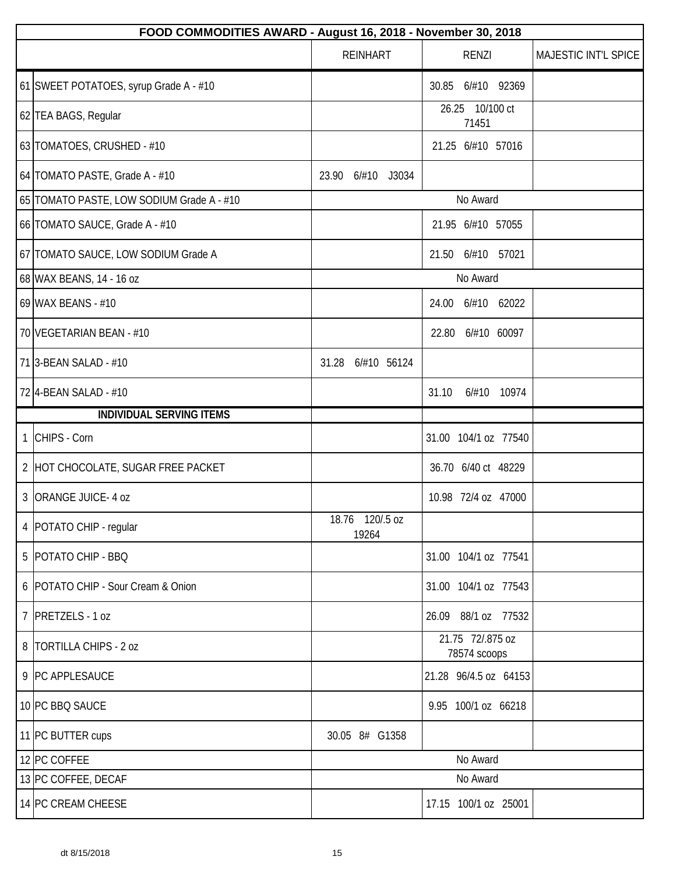| FOOD COMMODITIES AWARD - August 16, 2018 - November 30, 2018 |                          |                                  |                      |  |  |  |
|--------------------------------------------------------------|--------------------------|----------------------------------|----------------------|--|--|--|
|                                                              | <b>REINHART</b>          | <b>RENZI</b>                     | MAJESTIC INT'L SPICE |  |  |  |
| 61 SWEET POTATOES, syrup Grade A - #10                       |                          | 30.85 6/#10 92369                |                      |  |  |  |
| 62 TEA BAGS, Regular                                         |                          | 26.25<br>10/100 ct<br>71451      |                      |  |  |  |
| 63 TOMATOES, CRUSHED - #10                                   |                          | 21.25 6/#10 57016                |                      |  |  |  |
| 64 TOMATO PASTE, Grade A - #10                               | 23.90<br>6/#10 J3034     |                                  |                      |  |  |  |
| 65 TOMATO PASTE, LOW SODIUM Grade A - #10                    |                          | No Award                         |                      |  |  |  |
| 66 TOMATO SAUCE, Grade A - #10                               |                          | 21.95 6/#10 57055                |                      |  |  |  |
| 67 TOMATO SAUCE, LOW SODIUM Grade A                          |                          | 21.50<br>6/#10 57021             |                      |  |  |  |
| 68 WAX BEANS, 14 - 16 oz                                     |                          | No Award                         |                      |  |  |  |
| 69 WAX BEANS - #10                                           |                          | 24.00 6/#10 62022                |                      |  |  |  |
| 70 VEGETARIAN BEAN - #10                                     |                          | 6/#10 60097<br>22.80             |                      |  |  |  |
| 71 3-BEAN SALAD - #10                                        | 31.28<br>6/#10 56124     |                                  |                      |  |  |  |
| 72 4-BEAN SALAD - #10                                        |                          | 31.10<br>6/#10 10974             |                      |  |  |  |
| <b>INDIVIDUAL SERVING ITEMS</b>                              |                          |                                  |                      |  |  |  |
| 1 CHIPS - Corn                                               |                          | 31.00 104/1 oz 77540             |                      |  |  |  |
| 2 HOT CHOCOLATE, SUGAR FREE PACKET                           |                          | 36.70 6/40 ct 48229              |                      |  |  |  |
| 3 ORANGE JUICE - 4 oz                                        |                          | 10.98 72/4 oz 47000              |                      |  |  |  |
| 4   POTATO CHIP - regular                                    | 18.76 120/.5 oz<br>19264 |                                  |                      |  |  |  |
| 5   POTATO CHIP - BBQ                                        |                          | 31.00 104/1 oz 77541             |                      |  |  |  |
| 6 POTATO CHIP - Sour Cream & Onion                           |                          | 31.00 104/1 oz 77543             |                      |  |  |  |
| 7 PRETZELS - 1 oz                                            |                          | 26.09 88/1 oz 77532              |                      |  |  |  |
| 8   TORTILLA CHIPS - 2 oz                                    |                          | 21.75 72/.875 oz<br>78574 scoops |                      |  |  |  |
| 9 PC APPLESAUCE                                              |                          | 21.28 96/4.5 oz 64153            |                      |  |  |  |
| 10 PC BBQ SAUCE                                              |                          | 9.95 100/1 oz 66218              |                      |  |  |  |
| 11 PC BUTTER cups                                            | 30.05 8# G1358           |                                  |                      |  |  |  |
| 12 PC COFFEE                                                 |                          | No Award                         |                      |  |  |  |
| 13 PC COFFEE, DECAF                                          |                          | No Award                         |                      |  |  |  |
| 14 PC CREAM CHEESE                                           |                          | 17.15 100/1 oz 25001             |                      |  |  |  |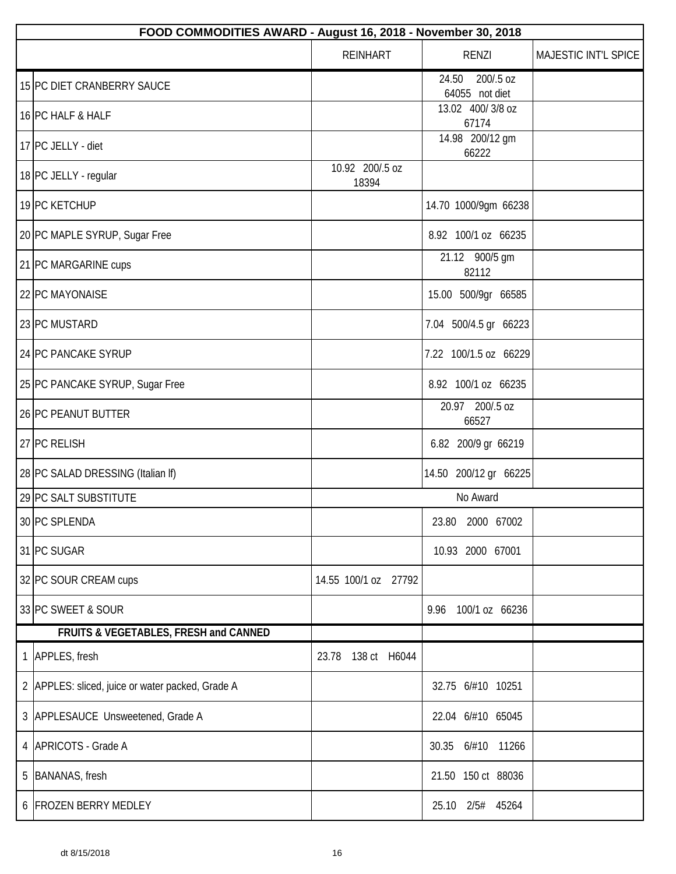| FOOD COMMODITIES AWARD - August 16, 2018 - November 30, 2018 |                          |                                      |                      |  |  |  |
|--------------------------------------------------------------|--------------------------|--------------------------------------|----------------------|--|--|--|
|                                                              | <b>REINHART</b>          | <b>RENZI</b>                         | MAJESTIC INT'L SPICE |  |  |  |
| 15 PC DIET CRANBERRY SAUCE                                   |                          | 24.50<br>200/.5 oz<br>64055 not diet |                      |  |  |  |
| 16 PC HALF & HALF                                            |                          | 13.02 400/3/8 oz<br>67174            |                      |  |  |  |
| 17 PC JELLY - diet                                           |                          | 14.98 200/12 gm<br>66222             |                      |  |  |  |
| 18 PC JELLY - regular                                        | 10.92 200/.5 oz<br>18394 |                                      |                      |  |  |  |
| 19 PC KETCHUP                                                |                          | 14.70 1000/9gm 66238                 |                      |  |  |  |
| 20 PC MAPLE SYRUP, Sugar Free                                |                          | 8.92 100/1 oz 66235                  |                      |  |  |  |
| 21 PC MARGARINE cups                                         |                          | 21.12 900/5 gm<br>82112              |                      |  |  |  |
| 22 PC MAYONAISE                                              |                          | 15.00 500/9gr 66585                  |                      |  |  |  |
| 23 PC MUSTARD                                                |                          | 7.04 500/4.5 gr 66223                |                      |  |  |  |
| 24 PC PANCAKE SYRUP                                          |                          | 7.22 100/1.5 oz 66229                |                      |  |  |  |
| 25 PC PANCAKE SYRUP, Sugar Free                              |                          | 8.92 100/1 oz 66235                  |                      |  |  |  |
| 26 PC PEANUT BUTTER                                          |                          | 20.97 200/.5 oz<br>66527             |                      |  |  |  |
| 27 PC RELISH                                                 |                          | 6.82 200/9 gr 66219                  |                      |  |  |  |
| 28 PC SALAD DRESSING (Italian If)                            |                          | 14.50 200/12 gr 66225                |                      |  |  |  |
| 29 PC SALT SUBSTITUTE                                        |                          | No Award                             |                      |  |  |  |
| 30 PC SPLENDA                                                |                          | 23.80<br>2000 67002                  |                      |  |  |  |
| 31 PC SUGAR                                                  |                          | 10.93 2000 67001                     |                      |  |  |  |
| 32 PC SOUR CREAM cups                                        | 14.55 100/1 oz 27792     |                                      |                      |  |  |  |
| 33 PC SWEET & SOUR                                           |                          | 9.96<br>100/1 oz 66236               |                      |  |  |  |
| FRUITS & VEGETABLES, FRESH and CANNED                        |                          |                                      |                      |  |  |  |
| 1 APPLES, fresh                                              | 138 ct H6044<br>23.78    |                                      |                      |  |  |  |
| 2 APPLES: sliced, juice or water packed, Grade A             |                          | 32.75 6/#10 10251                    |                      |  |  |  |
| 3 APPLESAUCE Unsweetened, Grade A                            |                          | 22.04 6/#10 65045                    |                      |  |  |  |
| 4 APRICOTS - Grade A                                         |                          | 30.35<br>6/#10 11266                 |                      |  |  |  |
| 5 BANANAS, fresh                                             |                          | 21.50 150 ct 88036                   |                      |  |  |  |
| 6 FROZEN BERRY MEDLEY                                        |                          | 25.10 2/5# 45264                     |                      |  |  |  |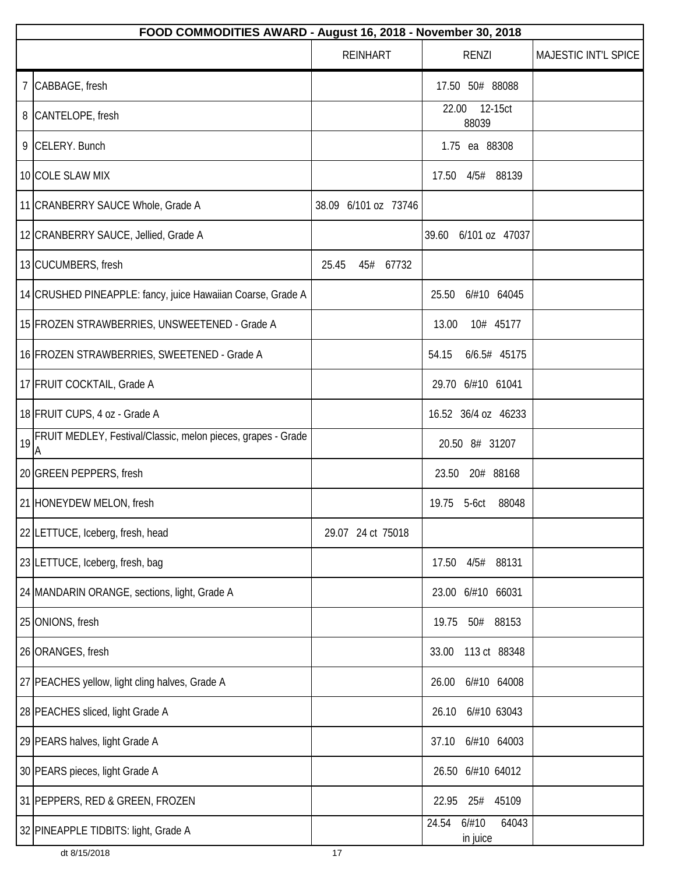|    | FOOD COMMODITIES AWARD - August 16, 2018 - November 30, 2018      |                      |                                     |                      |  |  |  |
|----|-------------------------------------------------------------------|----------------------|-------------------------------------|----------------------|--|--|--|
|    |                                                                   | <b>REINHART</b>      | <b>RENZI</b>                        | MAJESTIC INT'L SPICE |  |  |  |
|    | 7 CABBAGE, fresh                                                  |                      | 17.50 50# 88088                     |                      |  |  |  |
|    | 8 CANTELOPE, fresh                                                |                      | 22.00 12-15ct<br>88039              |                      |  |  |  |
|    | 9 CELERY. Bunch                                                   |                      | 1.75 ea 88308                       |                      |  |  |  |
|    | 10 COLE SLAW MIX                                                  |                      | 17.50  4/5#  88139                  |                      |  |  |  |
|    | 11 CRANBERRY SAUCE Whole, Grade A                                 | 38.09 6/101 oz 73746 |                                     |                      |  |  |  |
|    | 12 CRANBERRY SAUCE, Jellied, Grade A                              |                      | 6/101 oz 47037<br>39.60             |                      |  |  |  |
|    | 13 CUCUMBERS, fresh                                               | 25.45<br>45# 67732   |                                     |                      |  |  |  |
|    | 14 CRUSHED PINEAPPLE: fancy, juice Hawaiian Coarse, Grade A       |                      | 25.50<br>6/#10 64045                |                      |  |  |  |
|    | 15 FROZEN STRAWBERRIES, UNSWEETENED - Grade A                     |                      | 13.00<br>10# 45177                  |                      |  |  |  |
|    | 16 FROZEN STRAWBERRIES, SWEETENED - Grade A                       |                      | 6/6.5# 45175<br>54.15               |                      |  |  |  |
|    | 17 FRUIT COCKTAIL, Grade A                                        |                      | 29.70 6/#10 61041                   |                      |  |  |  |
|    | 18 FRUIT CUPS, 4 oz - Grade A                                     |                      | 16.52 36/4 oz 46233                 |                      |  |  |  |
| 19 | FRUIT MEDLEY, Festival/Classic, melon pieces, grapes - Grade<br>A |                      | 20.50 8# 31207                      |                      |  |  |  |
|    | 20 GREEN PEPPERS, fresh                                           |                      | 20# 88168<br>23.50                  |                      |  |  |  |
|    | 21 HONEYDEW MELON, fresh                                          |                      | 19.75 5-6ct<br>88048                |                      |  |  |  |
|    | 22 LETTUCE, Iceberg, fresh, head                                  | 29.07 24 ct 75018    |                                     |                      |  |  |  |
|    | 23 LETTUCE, Iceberg, fresh, bag                                   |                      | 17.50 4/5# 88131                    |                      |  |  |  |
|    | 24 MANDARIN ORANGE, sections, light, Grade A                      |                      | 23.00 6/#10 66031                   |                      |  |  |  |
|    | 25 ONIONS, fresh                                                  |                      | 19.75<br>50#<br>88153               |                      |  |  |  |
|    | 26 ORANGES, fresh                                                 |                      | 113 ct 88348<br>33.00               |                      |  |  |  |
|    | 27 PEACHES yellow, light cling halves, Grade A                    |                      | 6/#10 64008<br>26.00                |                      |  |  |  |
|    | 28 PEACHES sliced, light Grade A                                  |                      | 6/#10 63043<br>26.10                |                      |  |  |  |
|    | 29 PEARS halves, light Grade A                                    |                      | 6/#10 64003<br>37.10                |                      |  |  |  |
|    | 30 PEARS pieces, light Grade A                                    |                      | 26.50 6/#10 64012                   |                      |  |  |  |
|    | 31 PEPPERS, RED & GREEN, FROZEN                                   |                      | 22.95<br>25#<br>45109               |                      |  |  |  |
|    | 32 PINEAPPLE TIDBITS: light, Grade A                              |                      | 24.54<br>6/#10<br>64043<br>in juice |                      |  |  |  |
|    | dt 8/15/2018                                                      | 17                   |                                     |                      |  |  |  |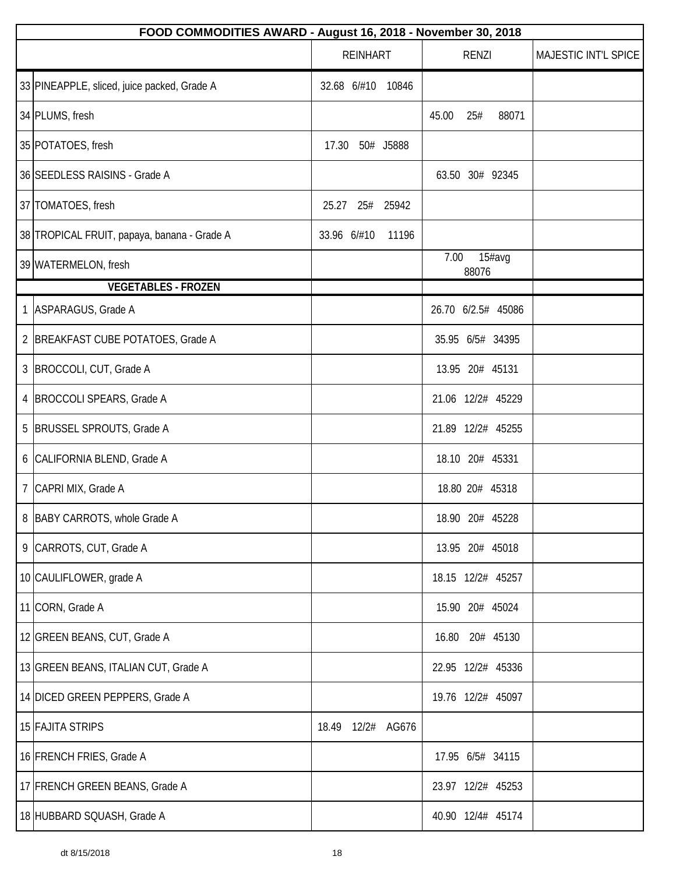| FOOD COMMODITIES AWARD - August 16, 2018 - November 30, 2018 |                      |                         |                      |  |  |  |  |
|--------------------------------------------------------------|----------------------|-------------------------|----------------------|--|--|--|--|
|                                                              | <b>REINHART</b>      | <b>RENZI</b>            | MAJESTIC INT'L SPICE |  |  |  |  |
| 33 PINEAPPLE, sliced, juice packed, Grade A                  | 32.68 6/#10 10846    |                         |                      |  |  |  |  |
| 34 PLUMS, fresh                                              |                      | 45.00<br>25#<br>88071   |                      |  |  |  |  |
| 35 POTATOES, fresh                                           | 50# J5888<br>17.30   |                         |                      |  |  |  |  |
| 36 SEEDLESS RAISINS - Grade A                                |                      | 63.50 30# 92345         |                      |  |  |  |  |
| 37 TOMATOES, fresh                                           | 25# 25942<br>25.27   |                         |                      |  |  |  |  |
| 38 TROPICAL FRUIT, papaya, banana - Grade A                  | 33.96 6/#10<br>11196 |                         |                      |  |  |  |  |
| 39 WATERMELON, fresh                                         |                      | 7.00<br>15#avg<br>88076 |                      |  |  |  |  |
| <b>VEGETABLES - FROZEN</b>                                   |                      |                         |                      |  |  |  |  |
| 1 ASPARAGUS, Grade A                                         |                      | 26.70 6/2.5# 45086      |                      |  |  |  |  |
| 2 BREAKFAST CUBE POTATOES, Grade A                           |                      | 35.95 6/5# 34395        |                      |  |  |  |  |
| 3   BROCCOLI, CUT, Grade A                                   |                      | 13.95 20# 45131         |                      |  |  |  |  |
| 4   BROCCOLI SPEARS, Grade A                                 |                      | 21.06 12/2# 45229       |                      |  |  |  |  |
| 5 BRUSSEL SPROUTS, Grade A                                   |                      | 21.89 12/2# 45255       |                      |  |  |  |  |
| 6 CALIFORNIA BLEND, Grade A                                  |                      | 18.10 20# 45331         |                      |  |  |  |  |
| 7 CAPRI MIX, Grade A                                         |                      | 18.80 20# 45318         |                      |  |  |  |  |
| 8 BABY CARROTS, whole Grade A                                |                      | 18.90 20# 45228         |                      |  |  |  |  |
| 9 CARROTS, CUT, Grade A                                      |                      | 13.95 20# 45018         |                      |  |  |  |  |
| 10 CAULIFLOWER, grade A                                      |                      | 18.15 12/2# 45257       |                      |  |  |  |  |
| 11 CORN, Grade A                                             |                      | 15.90 20# 45024         |                      |  |  |  |  |
| 12 GREEN BEANS, CUT, Grade A                                 |                      | 16.80<br>20# 45130      |                      |  |  |  |  |
| 13 GREEN BEANS, ITALIAN CUT, Grade A                         |                      | 22.95 12/2# 45336       |                      |  |  |  |  |
| 14 DICED GREEN PEPPERS, Grade A                              |                      | 19.76 12/2# 45097       |                      |  |  |  |  |
| 15 FAJITA STRIPS                                             | 18.49 12/2# AG676    |                         |                      |  |  |  |  |
| 16 FRENCH FRIES, Grade A                                     |                      | 17.95 6/5# 34115        |                      |  |  |  |  |
| 17 FRENCH GREEN BEANS, Grade A                               |                      | 23.97 12/2# 45253       |                      |  |  |  |  |
| 18 HUBBARD SQUASH, Grade A                                   |                      | 40.90 12/4# 45174       |                      |  |  |  |  |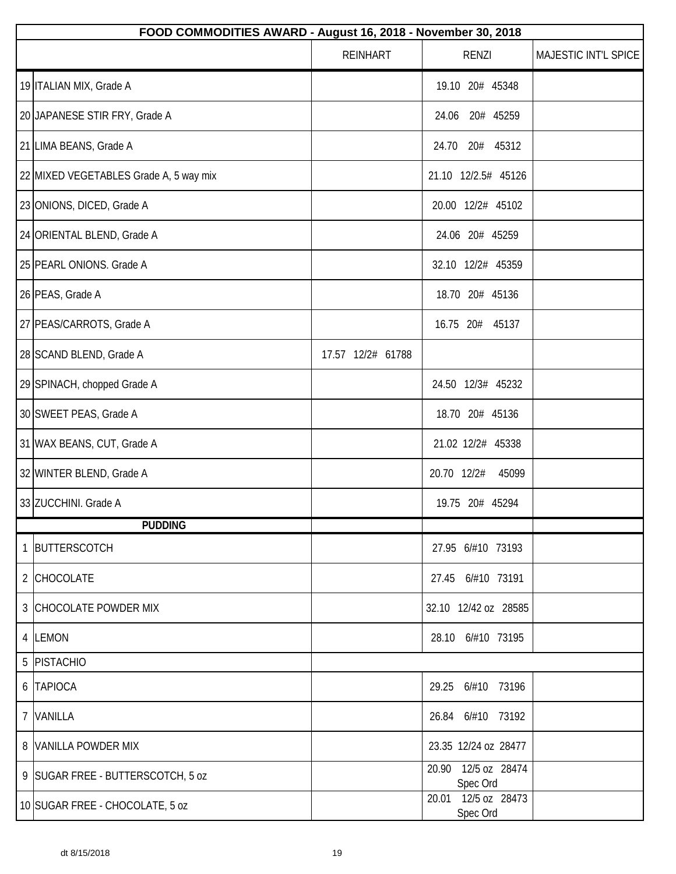| FOOD COMMODITIES AWARD - August 16, 2018 - November 30, 2018 |                   |                                 |                      |  |  |
|--------------------------------------------------------------|-------------------|---------------------------------|----------------------|--|--|
|                                                              | <b>REINHART</b>   | RENZI                           | MAJESTIC INT'L SPICE |  |  |
| 19 ITALIAN MIX, Grade A                                      |                   | 19.10 20# 45348                 |                      |  |  |
| 20 JAPANESE STIR FRY, Grade A                                |                   | 20# 45259<br>24.06              |                      |  |  |
| 21 LIMA BEANS, Grade A                                       |                   | 24.70<br>20# 45312              |                      |  |  |
| 22 MIXED VEGETABLES Grade A, 5 way mix                       |                   | 21.10 12/2.5# 45126             |                      |  |  |
| 23 ONIONS, DICED, Grade A                                    |                   | 20.00 12/2# 45102               |                      |  |  |
| 24 ORIENTAL BLEND, Grade A                                   |                   | 24.06 20# 45259                 |                      |  |  |
| 25 PEARL ONIONS. Grade A                                     |                   | 32.10 12/2# 45359               |                      |  |  |
| 26 PEAS, Grade A                                             |                   | 18.70 20# 45136                 |                      |  |  |
| 27 PEAS/CARROTS, Grade A                                     |                   | 16.75 20# 45137                 |                      |  |  |
| 28 SCAND BLEND, Grade A                                      | 17.57 12/2# 61788 |                                 |                      |  |  |
| 29 SPINACH, chopped Grade A                                  |                   | 24.50 12/3# 45232               |                      |  |  |
| 30 SWEET PEAS, Grade A                                       |                   | 18.70 20# 45136                 |                      |  |  |
| 31 WAX BEANS, CUT, Grade A                                   |                   | 21.02 12/2# 45338               |                      |  |  |
| 32 WINTER BLEND, Grade A                                     |                   | 20.70 12/2#<br>45099            |                      |  |  |
| 33 ZUCCHINI. Grade A                                         |                   | 19.75 20# 45294                 |                      |  |  |
| <b>PUDDING</b>                                               |                   |                                 |                      |  |  |
| 1 BUTTERSCOTCH                                               |                   | 27.95 6/#10 73193               |                      |  |  |
| 2 CHOCOLATE                                                  |                   | 27.45 6/#10 73191               |                      |  |  |
| 3 CHOCOLATE POWDER MIX                                       |                   | 32.10 12/42 oz 28585            |                      |  |  |
| 4 LEMON                                                      |                   | 28.10 6/#10 73195               |                      |  |  |
| 5 PISTACHIO                                                  |                   |                                 |                      |  |  |
| 6 TAPIOCA                                                    |                   | 29.25 6/#10 73196               |                      |  |  |
| 7 VANILLA                                                    |                   | 26.84 6/#10 73192               |                      |  |  |
| 8 VANILLA POWDER MIX                                         |                   | 23.35 12/24 oz 28477            |                      |  |  |
| 9 SUGAR FREE - BUTTERSCOTCH, 5 oz                            |                   | 20.90 12/5 oz 28474<br>Spec Ord |                      |  |  |
| 10 SUGAR FREE - CHOCOLATE, 5 oz                              |                   | 20.01 12/5 oz 28473<br>Spec Ord |                      |  |  |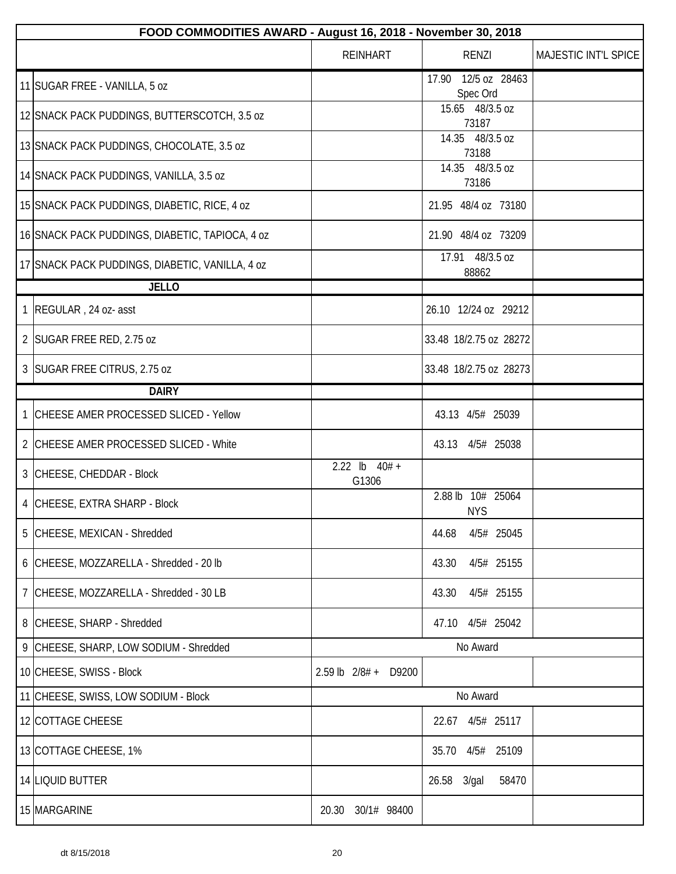|   | FOOD COMMODITIES AWARD - August 16, 2018 - November 30, 2018 |                          |                                    |                      |  |  |
|---|--------------------------------------------------------------|--------------------------|------------------------------------|----------------------|--|--|
|   |                                                              | <b>REINHART</b>          | <b>RENZI</b>                       | MAJESTIC INT'L SPICE |  |  |
|   | 11 SUGAR FREE - VANILLA, 5 oz                                |                          | 12/5 oz 28463<br>17.90<br>Spec Ord |                      |  |  |
|   | 12 SNACK PACK PUDDINGS, BUTTERSCOTCH, 3.5 oz                 |                          | 15.65 48/3.5 oz<br>73187           |                      |  |  |
|   | 13 SNACK PACK PUDDINGS, CHOCOLATE, 3.5 oz                    |                          | 14.35 48/3.5 oz<br>73188           |                      |  |  |
|   | 14 SNACK PACK PUDDINGS, VANILLA, 3.5 oz                      |                          | 14.35 48/3.5 oz<br>73186           |                      |  |  |
|   | 15 SNACK PACK PUDDINGS, DIABETIC, RICE, 4 oz                 |                          | 21.95 48/4 oz 73180                |                      |  |  |
|   | 16 SNACK PACK PUDDINGS, DIABETIC, TAPIOCA, 4 oz              |                          | 21.90 48/4 oz 73209                |                      |  |  |
|   | 17 SNACK PACK PUDDINGS, DIABETIC, VANILLA, 4 oz              |                          | 17.91 48/3.5 oz<br>88862           |                      |  |  |
|   | <b>JELLO</b>                                                 |                          |                                    |                      |  |  |
|   | 1 REGULAR, 24 oz- asst                                       |                          | 26.10 12/24 oz 29212               |                      |  |  |
|   | 2 SUGAR FREE RED, 2.75 oz                                    |                          | 33.48 18/2.75 oz 28272             |                      |  |  |
|   | 3 SUGAR FREE CITRUS, 2.75 oz                                 |                          | 33.48 18/2.75 oz 28273             |                      |  |  |
|   | <b>DAIRY</b>                                                 |                          |                                    |                      |  |  |
|   | 1 CHEESE AMER PROCESSED SLICED - Yellow                      |                          | 43.13 4/5# 25039                   |                      |  |  |
|   | 2 CHEESE AMER PROCESSED SLICED - White                       |                          | 4/5# 25038<br>43.13                |                      |  |  |
|   | 3 CHEESE, CHEDDAR - Block                                    | 2.22 lb $40# +$<br>G1306 |                                    |                      |  |  |
|   | 4 CHEESE, EXTRA SHARP - Block                                |                          | 10# 25064<br>2.88 lb<br><b>NYS</b> |                      |  |  |
| 5 | CHEESE, MEXICAN - Shredded                                   |                          | 4/5# 25045<br>44.68                |                      |  |  |
|   | 6 CHEESE, MOZZARELLA - Shredded - 20 lb                      |                          | 4/5# 25155<br>43.30                |                      |  |  |
|   | 7 CHEESE, MOZZARELLA - Shredded - 30 LB                      |                          | 43.30<br>4/5# 25155                |                      |  |  |
|   | 8 CHEESE, SHARP - Shredded                                   |                          | 4/5# 25042<br>47.10                |                      |  |  |
|   | 9 CHEESE, SHARP, LOW SODIUM - Shredded                       |                          | No Award                           |                      |  |  |
|   | 10 CHEESE, SWISS - Block                                     | 2.59 lb 2/8# + D9200     |                                    |                      |  |  |
|   | 11 CHEESE, SWISS, LOW SODIUM - Block                         |                          | No Award                           |                      |  |  |
|   | 12 COTTAGE CHEESE                                            |                          | 4/5# 25117<br>22.67                |                      |  |  |
|   | 13 COTTAGE CHEESE, 1%                                        |                          | 35.70 4/5#<br>25109                |                      |  |  |
|   | 14 LIQUID BUTTER                                             |                          | 26.58 3/gal<br>58470               |                      |  |  |
|   | 15 MARGARINE                                                 | 20.30<br>30/1# 98400     |                                    |                      |  |  |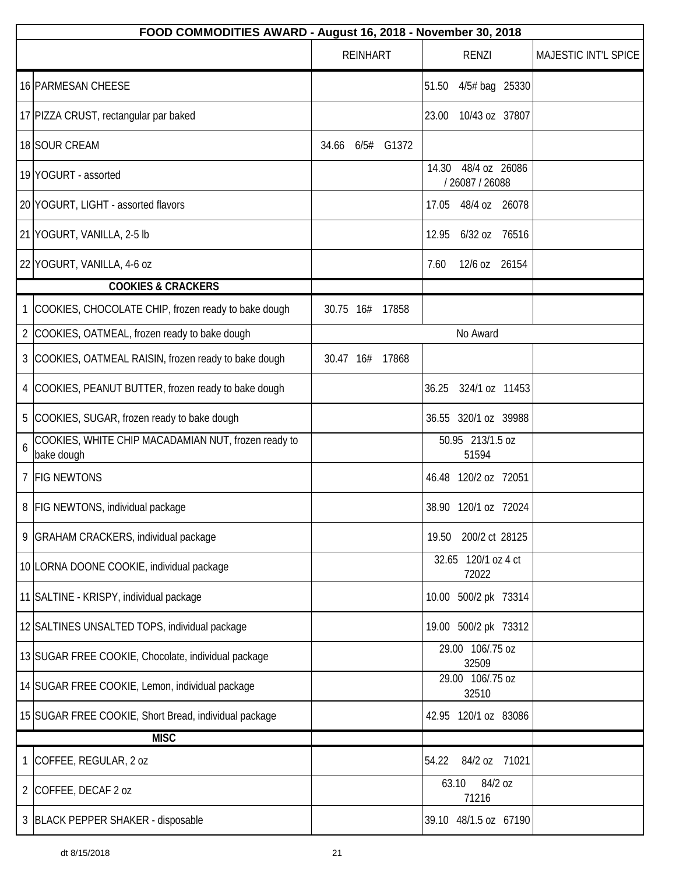|                | FOOD COMMODITIES AWARD - August 16, 2018 - November 30, 2018      |                  |  |       |       |                                  |         |                      |
|----------------|-------------------------------------------------------------------|------------------|--|-------|-------|----------------------------------|---------|----------------------|
|                |                                                                   | <b>REINHART</b>  |  |       |       | <b>RENZI</b>                     |         | MAJESTIC INT'L SPICE |
|                | 16 PARMESAN CHEESE                                                |                  |  |       | 51.50 | 4/5# bag 25330                   |         |                      |
|                | 17 PIZZA CRUST, rectangular par baked                             |                  |  |       | 23.00 | 10/43 oz 37807                   |         |                      |
|                | 18 SOUR CREAM                                                     | 34.66 6/5# G1372 |  |       |       |                                  |         |                      |
|                | 19 YOGURT - assorted                                              |                  |  |       | 14.30 | 48/4 oz 26086<br>/ 26087 / 26088 |         |                      |
|                | 20 YOGURT, LIGHT - assorted flavors                               |                  |  |       | 17.05 | 48/4 oz 26078                    |         |                      |
|                | 21 YOGURT, VANILLA, 2-5 lb                                        |                  |  |       | 12.95 | 6/32 oz 76516                    |         |                      |
|                | 22 YOGURT, VANILLA, 4-6 oz                                        |                  |  |       | 7.60  | 12/6 oz 26154                    |         |                      |
|                | <b>COOKIES &amp; CRACKERS</b>                                     |                  |  |       |       |                                  |         |                      |
| $\mathbf{1}$   | COOKIES, CHOCOLATE CHIP, frozen ready to bake dough               | 30.75 16# 17858  |  |       |       |                                  |         |                      |
| $\overline{2}$ | COOKIES, OATMEAL, frozen ready to bake dough                      |                  |  |       |       | No Award                         |         |                      |
| 3              | COOKIES, OATMEAL RAISIN, frozen ready to bake dough               | 30.47 16#        |  | 17868 |       |                                  |         |                      |
| 4              | COOKIES, PEANUT BUTTER, frozen ready to bake dough                |                  |  |       | 36.25 | 324/1 oz 11453                   |         |                      |
|                | 5 COOKIES, SUGAR, frozen ready to bake dough                      |                  |  |       |       | 36.55 320/1 oz 39988             |         |                      |
| 6              | COOKIES, WHITE CHIP MACADAMIAN NUT, frozen ready to<br>bake dough |                  |  |       |       | 50.95 213/1.5 oz<br>51594        |         |                      |
|                | 7 FIG NEWTONS                                                     |                  |  |       |       | 46.48 120/2 oz 72051             |         |                      |
|                | 8   FIG NEWTONS, individual package                               |                  |  |       |       | 38.90 120/1 oz 72024             |         |                      |
|                | 9 GRAHAM CRACKERS, individual package                             |                  |  |       | 19.50 | 200/2 ct 28125                   |         |                      |
|                | 10 LORNA DOONE COOKIE, individual package                         |                  |  |       |       | 32.65 120/1 oz 4 ct<br>72022     |         |                      |
|                | 11 SALTINE - KRISPY, individual package                           |                  |  |       |       | 10.00 500/2 pk 73314             |         |                      |
|                | 12 SALTINES UNSALTED TOPS, individual package                     |                  |  |       |       | 19.00 500/2 pk 73312             |         |                      |
|                | 13 SUGAR FREE COOKIE, Chocolate, individual package               |                  |  |       |       | 29.00 106/.75 oz<br>32509        |         |                      |
|                | 14 SUGAR FREE COOKIE, Lemon, individual package                   |                  |  |       |       | 29.00 106/.75 oz<br>32510        |         |                      |
|                | 15 SUGAR FREE COOKIE, Short Bread, individual package             |                  |  |       |       | 42.95 120/1 oz 83086             |         |                      |
|                | <b>MISC</b>                                                       |                  |  |       |       |                                  |         |                      |
| 1              | COFFEE, REGULAR, 2 oz                                             |                  |  |       | 54.22 | 84/2 oz 71021                    |         |                      |
| 2              | COFFEE, DECAF 2 oz                                                |                  |  |       |       | 63.10<br>71216                   | 84/2 oz |                      |
|                | 3 BLACK PEPPER SHAKER - disposable                                |                  |  |       |       | 39.10 48/1.5 oz 67190            |         |                      |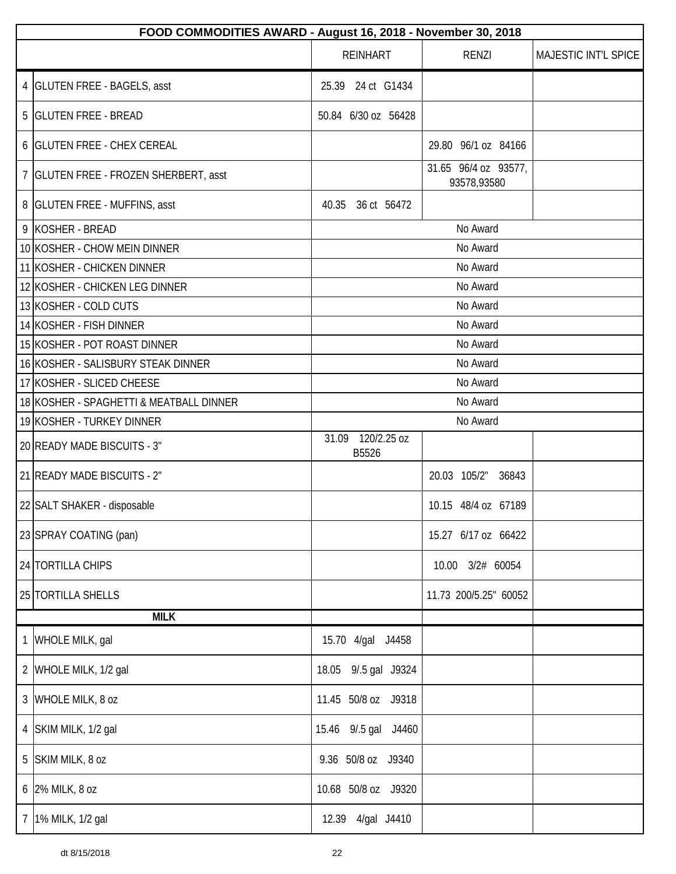|                | FOOD COMMODITIES AWARD - August 16, 2018 - November 30, 2018 |                               |                                     |                      |  |  |
|----------------|--------------------------------------------------------------|-------------------------------|-------------------------------------|----------------------|--|--|
|                |                                                              | <b>REINHART</b>               | <b>RENZI</b>                        | MAJESTIC INT'L SPICE |  |  |
|                | 4   GLUTEN FREE - BAGELS, asst                               | 25.39 24 ct G1434             |                                     |                      |  |  |
|                | 5 GLUTEN FREE - BREAD                                        | 50.84 6/30 oz 56428           |                                     |                      |  |  |
|                | 6 GLUTEN FREE - CHEX CEREAL                                  |                               | 29.80 96/1 oz 84166                 |                      |  |  |
|                | 7   GLUTEN FREE - FROZEN SHERBERT, asst                      |                               | 31.65 96/4 oz 93577,<br>93578,93580 |                      |  |  |
|                | 8 GLUTEN FREE - MUFFINS, asst                                | 40.35<br>36 ct 56472          |                                     |                      |  |  |
|                | 9 KOSHER - BREAD                                             |                               | No Award                            |                      |  |  |
|                | 10 KOSHER - CHOW MEIN DINNER                                 |                               | No Award                            |                      |  |  |
|                | 11 KOSHER - CHICKEN DINNER                                   |                               | No Award                            |                      |  |  |
|                | 12 KOSHER - CHICKEN LEG DINNER                               |                               | No Award                            |                      |  |  |
|                | 13 KOSHER - COLD CUTS                                        |                               | No Award                            |                      |  |  |
|                | 14 KOSHER - FISH DINNER                                      |                               | No Award                            |                      |  |  |
|                | 15 KOSHER - POT ROAST DINNER                                 |                               | No Award                            |                      |  |  |
|                | 16 KOSHER - SALISBURY STEAK DINNER                           |                               | No Award                            |                      |  |  |
|                | 17 KOSHER - SLICED CHEESE                                    |                               | No Award                            |                      |  |  |
|                | 18 KOSHER - SPAGHETTI & MEATBALL DINNER                      | No Award                      |                                     |                      |  |  |
|                | 19 KOSHER - TURKEY DINNER                                    | No Award                      |                                     |                      |  |  |
|                | 20 READY MADE BISCUITS - 3"                                  | 120/2.25 oz<br>31.09<br>B5526 |                                     |                      |  |  |
|                | 21 READY MADE BISCUITS - 2"                                  |                               | 20.03 105/2"<br>36843               |                      |  |  |
|                | 22 SALT SHAKER - disposable                                  |                               | 10.15 48/4 oz 67189                 |                      |  |  |
|                | 23 SPRAY COATING (pan)                                       |                               | 15.27 6/17 oz 66422                 |                      |  |  |
|                | 24 TORTILLA CHIPS                                            |                               | 10.00  3/2#  60054                  |                      |  |  |
|                | 25 TORTILLA SHELLS                                           |                               | 11.73 200/5.25" 60052               |                      |  |  |
|                | <b>MILK</b>                                                  |                               |                                     |                      |  |  |
| 1              | WHOLE MILK, gal                                              | 15.70 4/gal J4458             |                                     |                      |  |  |
|                | 2 WHOLE MILK, 1/2 gal                                        | 18.05 9/.5 gal J9324          |                                     |                      |  |  |
|                | 3 WHOLE MILK, 8 oz                                           | 11.45 50/8 oz J9318           |                                     |                      |  |  |
|                | 4 SKIM MILK, 1/2 gal                                         | 15.46 9/.5 gal J4460          |                                     |                      |  |  |
|                | 5 SKIM MILK, 8 oz                                            | 9.36 50/8 oz J9340            |                                     |                      |  |  |
|                | 6 2% MILK, 8 oz                                              | 10.68 50/8 oz J9320           |                                     |                      |  |  |
| 7 <sup>1</sup> | 1% MILK, 1/2 gal                                             | 4/gal J4410<br>12.39          |                                     |                      |  |  |